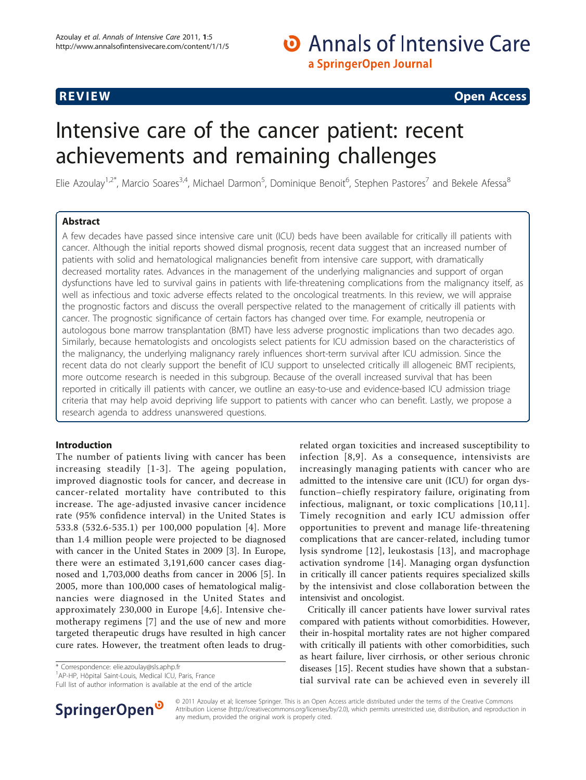## O Annals of Intensive Care a SpringerOpen Journal

**REVIEW REVIEW CONSTRUCTER CONSTRUCTION** 

# Intensive care of the cancer patient: recent achievements and remaining challenges

Elie Azoulay<sup>1,2\*</sup>, Marcio Soares<sup>3,4</sup>, Michael Darmon<sup>5</sup>, Dominique Benoit<sup>6</sup>, Stephen Pastores<sup>7</sup> and Bekele Afessa<sup>8</sup>

#### Abstract

A few decades have passed since intensive care unit (ICU) beds have been available for critically ill patients with cancer. Although the initial reports showed dismal prognosis, recent data suggest that an increased number of patients with solid and hematological malignancies benefit from intensive care support, with dramatically decreased mortality rates. Advances in the management of the underlying malignancies and support of organ dysfunctions have led to survival gains in patients with life-threatening complications from the malignancy itself, as well as infectious and toxic adverse effects related to the oncological treatments. In this review, we will appraise the prognostic factors and discuss the overall perspective related to the management of critically ill patients with cancer. The prognostic significance of certain factors has changed over time. For example, neutropenia or autologous bone marrow transplantation (BMT) have less adverse prognostic implications than two decades ago. Similarly, because hematologists and oncologists select patients for ICU admission based on the characteristics of the malignancy, the underlying malignancy rarely influences short-term survival after ICU admission. Since the recent data do not clearly support the benefit of ICU support to unselected critically ill allogeneic BMT recipients, more outcome research is needed in this subgroup. Because of the overall increased survival that has been reported in critically ill patients with cancer, we outline an easy-to-use and evidence-based ICU admission triage criteria that may help avoid depriving life support to patients with cancer who can benefit. Lastly, we propose a research agenda to address unanswered questions.

#### Introduction

The number of patients living with cancer has been increasing steadily [[1-3\]](#page-9-0). The ageing population, improved diagnostic tools for cancer, and decrease in cancer-related mortality have contributed to this increase. The age-adjusted invasive cancer incidence rate (95% confidence interval) in the United States is 533.8 (532.6-535.1) per 100,000 population [[4](#page-9-0)]. More than 1.4 million people were projected to be diagnosed with cancer in the United States in 2009 [[3\]](#page-9-0). In Europe, there were an estimated 3,191,600 cancer cases diagnosed and 1,703,000 deaths from cancer in 2006 [[5\]](#page-9-0). In 2005, more than 100,000 cases of hematological malignancies were diagnosed in the United States and approximately 230,000 in Europe [[4,6](#page-9-0)]. Intensive chemotherapy regimens [\[7](#page-9-0)] and the use of new and more targeted therapeutic drugs have resulted in high cancer cure rates. However, the treatment often leads to drug-

\* Correspondence: [elie.azoulay@sls.aphp.fr](mailto:elie.azoulay@sls.aphp.fr)

<sup>1</sup>AP-HP, Hôpital Saint-Louis, Medical ICU, Paris, France



related organ toxicities and increased susceptibility to

Critically ill cancer patients have lower survival rates compared with patients without comorbidities. However, their in-hospital mortality rates are not higher compared with critically ill patients with other comorbidities, such as heart failure, liver cirrhosis, or other serious chronic diseases [[15](#page-9-0)]. Recent studies have shown that a substantial survival rate can be achieved even in severely ill



© 2011 Azoulay et al; licensee Springer. This is an Open Access article distributed under the terms of the Creative Commons Attribution License [\(http://creativecommons.org/licenses/by/2.0](http://creativecommons.org/licenses/by/2.0)), which permits unrestricted use, distribution, and reproduction in any medium, provided the original work is properly cited.

Full list of author information is available at the end of the article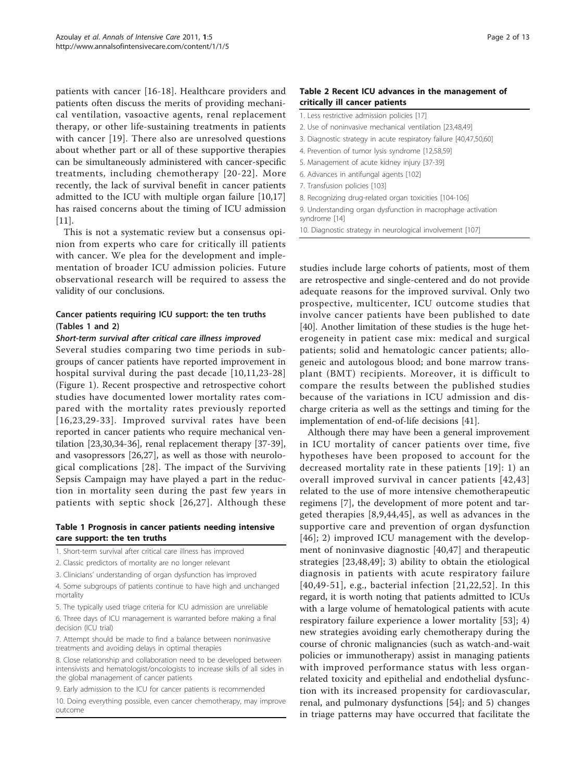<span id="page-1-0"></span>patients with cancer [[16](#page-9-0)-[18\]](#page-9-0). Healthcare providers and patients often discuss the merits of providing mechanical ventilation, vasoactive agents, renal replacement therapy, or other life-sustaining treatments in patients with cancer [[19](#page-9-0)]. There also are unresolved questions about whether part or all of these supportive therapies can be simultaneously administered with cancer-specific treatments, including chemotherapy [[20](#page-9-0)[-22](#page-10-0)]. More recently, the lack of survival benefit in cancer patients admitted to the ICU with multiple organ failure [\[10,17](#page-9-0)] has raised concerns about the timing of ICU admission  $[11]$  $[11]$ .

This is not a systematic review but a consensus opinion from experts who care for critically ill patients with cancer. We plea for the development and implementation of broader ICU admission policies. Future observational research will be required to assess the validity of our conclusions.

#### Cancer patients requiring ICU support: the ten truths (Tables 1 and 2)

#### Short-term survival after critical care illness improved

Several studies comparing two time periods in subgroups of cancer patients have reported improvement in hospital survival during the past decade [[10,11,](#page-9-0)[23](#page-10-0)-[28](#page-10-0)] (Figure [1\)](#page-2-0). Recent prospective and retrospective cohort studies have documented lower mortality rates compared with the mortality rates previously reported [[16](#page-9-0),[23](#page-10-0),[29-33\]](#page-10-0). Improved survival rates have been reported in cancer patients who require mechanical ventilation [\[23,30,34-36](#page-10-0)], renal replacement therapy [[37-39](#page-10-0)], and vasopressors [[26,27\]](#page-10-0), as well as those with neurological complications [\[28\]](#page-10-0). The impact of the Surviving Sepsis Campaign may have played a part in the reduction in mortality seen during the past few years in patients with septic shock [[26,27](#page-10-0)]. Although these

#### Table 1 Prognosis in cancer patients needing intensive care support: the ten truths

1. Short-term survival after critical care illness has improved

2. Classic predictors of mortality are no longer relevant

3. Clinicians' understanding of organ dysfunction has improved

4. Some subgroups of patients continue to have high and unchanged mortality

5. The typically used triage criteria for ICU admission are unreliable

6. Three days of ICU management is warranted before making a final decision (ICU trial)

7. Attempt should be made to find a balance between noninvasive treatments and avoiding delays in optimal therapies

8. Close relationship and collaboration need to be developed between intensivists and hematologist/oncologists to increase skills of all sides in the global management of cancer patients

9. Early admission to the ICU for cancer patients is recommended

10. Doing everything possible, even cancer chemotherapy, may improve outcome

#### Table 2 Recent ICU advances in the management of critically ill cancer patients

| 1. Less restrictive admission policies [17]                       |
|-------------------------------------------------------------------|
| 2. Use of noninvasive mechanical ventilation [23,48,49]           |
| 3. Diagnostic strategy in acute respiratory failure [40,47,50,60] |
| 4. Prevention of tumor lysis syndrome [12,58,59]                  |
| 5. Management of acute kidney injury [37-39]                      |
| 6. Advances in antifungal agents [102]                            |
| 7. Transfusion policies [103]                                     |
| 8. Recognizing drug-related organ toxicities [104-106]            |
| 9. Understanding organ dysfunction in macrophage activation       |

10. Diagnostic strategy in neurological involvement [\[107](#page-12-0)]

syndrome [\[14\]](#page-9-0)

studies include large cohorts of patients, most of them are retrospective and single-centered and do not provide adequate reasons for the improved survival. Only two prospective, multicenter, ICU outcome studies that involve cancer patients have been published to date [[40\]](#page-10-0). Another limitation of these studies is the huge heterogeneity in patient case mix: medical and surgical patients; solid and hematologic cancer patients; allogeneic and autologous blood; and bone marrow transplant (BMT) recipients. Moreover, it is difficult to compare the results between the published studies because of the variations in ICU admission and discharge criteria as well as the settings and timing for the implementation of end-of-life decisions [\[41](#page-10-0)].

Although there may have been a general improvement in ICU mortality of cancer patients over time, five hypotheses have been proposed to account for the decreased mortality rate in these patients [[19](#page-9-0)]: 1) an overall improved survival in cancer patients [[42](#page-10-0),[43](#page-10-0)] related to the use of more intensive chemotherapeutic regimens [\[7](#page-9-0)], the development of more potent and targeted therapies [[8,9,](#page-9-0)[44](#page-10-0),[45](#page-10-0)], as well as advances in the supportive care and prevention of organ dysfunction [[46](#page-10-0)]; 2) improved ICU management with the development of noninvasive diagnostic [\[40,47\]](#page-10-0) and therapeutic strategies [[23](#page-10-0),[48,49](#page-10-0)]; 3) ability to obtain the etiological diagnosis in patients with acute respiratory failure [[40,49-51](#page-10-0)], e.g., bacterial infection [[21](#page-9-0),[22](#page-10-0),[52](#page-10-0)]. In this regard, it is worth noting that patients admitted to ICUs with a large volume of hematological patients with acute respiratory failure experience a lower mortality [\[53](#page-10-0)]; 4) new strategies avoiding early chemotherapy during the course of chronic malignancies (such as watch-and-wait policies or immunotherapy) assist in managing patients with improved performance status with less organrelated toxicity and epithelial and endothelial dysfunction with its increased propensity for cardiovascular, renal, and pulmonary dysfunctions [[54\]](#page-10-0); and 5) changes in triage patterns may have occurred that facilitate the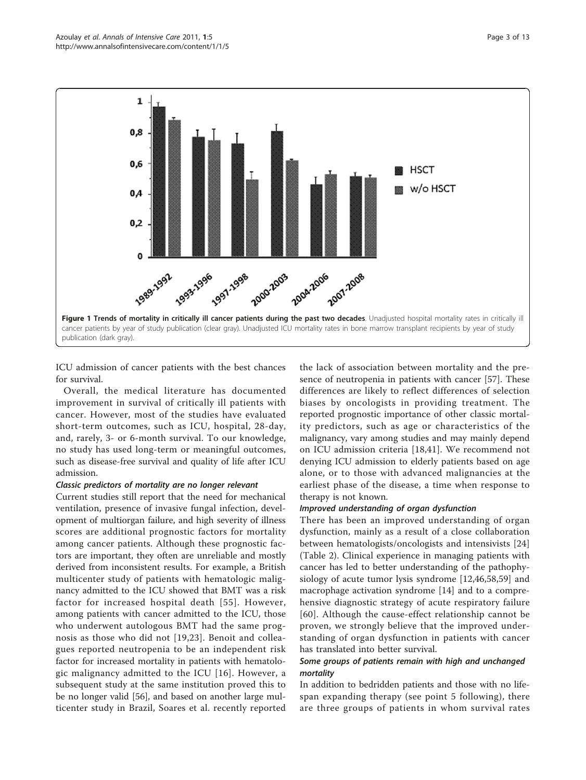<span id="page-2-0"></span>

ICU admission of cancer patients with the best chances for survival.

Overall, the medical literature has documented improvement in survival of critically ill patients with cancer. However, most of the studies have evaluated short-term outcomes, such as ICU, hospital, 28-day, and, rarely, 3- or 6-month survival. To our knowledge, no study has used long-term or meaningful outcomes, such as disease-free survival and quality of life after ICU admission.

#### Classic predictors of mortality are no longer relevant

Current studies still report that the need for mechanical ventilation, presence of invasive fungal infection, development of multiorgan failure, and high severity of illness scores are additional prognostic factors for mortality among cancer patients. Although these prognostic factors are important, they often are unreliable and mostly derived from inconsistent results. For example, a British multicenter study of patients with hematologic malignancy admitted to the ICU showed that BMT was a risk factor for increased hospital death [[55\]](#page-10-0). However, among patients with cancer admitted to the ICU, those who underwent autologous BMT had the same prognosis as those who did not [[19](#page-9-0),[23\]](#page-10-0). Benoit and colleagues reported neutropenia to be an independent risk factor for increased mortality in patients with hematologic malignancy admitted to the ICU [[16](#page-9-0)]. However, a subsequent study at the same institution proved this to be no longer valid [\[56](#page-10-0)], and based on another large multicenter study in Brazil, Soares et al. recently reported

the lack of association between mortality and the presence of neutropenia in patients with cancer [[57](#page-10-0)]. These differences are likely to reflect differences of selection biases by oncologists in providing treatment. The reported prognostic importance of other classic mortality predictors, such as age or characteristics of the malignancy, vary among studies and may mainly depend on ICU admission criteria [[18,](#page-9-0)[41](#page-10-0)]. We recommend not denying ICU admission to elderly patients based on age alone, or to those with advanced malignancies at the earliest phase of the disease, a time when response to therapy is not known.

#### Improved understanding of organ dysfunction

There has been an improved understanding of organ dysfunction, mainly as a result of a close collaboration between hematologists/oncologists and intensivists [\[24](#page-10-0)] (Table [2](#page-1-0)). Clinical experience in managing patients with cancer has led to better understanding of the pathophysiology of acute tumor lysis syndrome [[12](#page-9-0),[46,](#page-10-0)[58,59\]](#page-11-0) and macrophage activation syndrome [\[14\]](#page-9-0) and to a comprehensive diagnostic strategy of acute respiratory failure [[60](#page-11-0)]. Although the cause-effect relationship cannot be proven, we strongly believe that the improved understanding of organ dysfunction in patients with cancer has translated into better survival.

#### Some groups of patients remain with high and unchanged mortality

In addition to bedridden patients and those with no lifespan expanding therapy (see point 5 following), there are three groups of patients in whom survival rates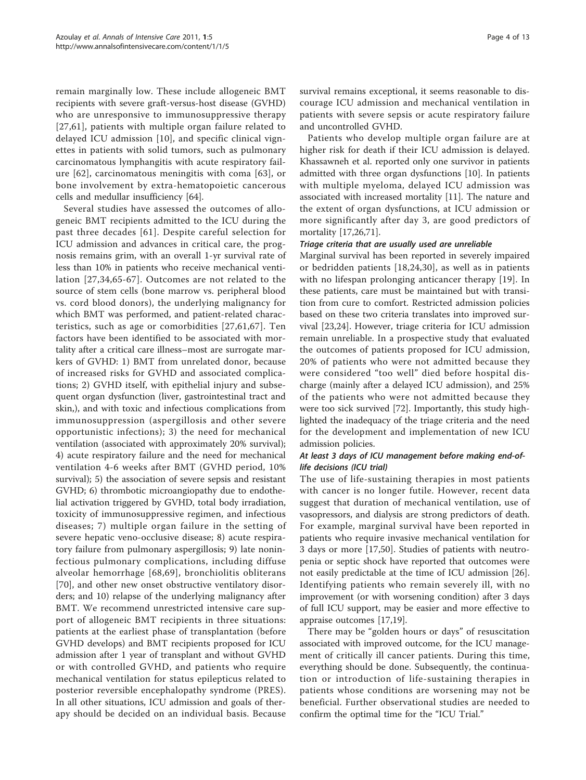remain marginally low. These include allogeneic BMT recipients with severe graft-versus-host disease (GVHD) who are unresponsive to immunosuppressive therapy [[27](#page-10-0),[61\]](#page-11-0), patients with multiple organ failure related to delayed ICU admission [[10](#page-9-0)], and specific clinical vignettes in patients with solid tumors, such as pulmonary carcinomatous lymphangitis with acute respiratory failure [\[62\]](#page-11-0), carcinomatous meningitis with coma [[63](#page-11-0)], or bone involvement by extra-hematopoietic cancerous cells and medullar insufficiency [\[64\]](#page-11-0).

Several studies have assessed the outcomes of allogeneic BMT recipients admitted to the ICU during the past three decades [[61](#page-11-0)]. Despite careful selection for ICU admission and advances in critical care, the prognosis remains grim, with an overall 1-yr survival rate of less than 10% in patients who receive mechanical ventilation [[27,34,](#page-10-0)[65-67\]](#page-11-0). Outcomes are not related to the source of stem cells (bone marrow vs. peripheral blood vs. cord blood donors), the underlying malignancy for which BMT was performed, and patient-related characteristics, such as age or comorbidities [[27,](#page-10-0)[61,67](#page-11-0)]. Ten factors have been identified to be associated with mortality after a critical care illness–most are surrogate markers of GVHD: 1) BMT from unrelated donor, because of increased risks for GVHD and associated complications; 2) GVHD itself, with epithelial injury and subsequent organ dysfunction (liver, gastrointestinal tract and skin,), and with toxic and infectious complications from immunosuppression (aspergillosis and other severe opportunistic infections); 3) the need for mechanical ventilation (associated with approximately 20% survival); 4) acute respiratory failure and the need for mechanical ventilation 4-6 weeks after BMT (GVHD period, 10% survival); 5) the association of severe sepsis and resistant GVHD; 6) thrombotic microangiopathy due to endothelial activation triggered by GVHD, total body irradiation, toxicity of immunosuppressive regimen, and infectious diseases; 7) multiple organ failure in the setting of severe hepatic veno-occlusive disease; 8) acute respiratory failure from pulmonary aspergillosis; 9) late noninfectious pulmonary complications, including diffuse alveolar hemorrhage [[68](#page-11-0),[69](#page-11-0)], bronchiolitis obliterans [[70\]](#page-11-0), and other new onset obstructive ventilatory disorders; and 10) relapse of the underlying malignancy after BMT. We recommend unrestricted intensive care support of allogeneic BMT recipients in three situations: patients at the earliest phase of transplantation (before GVHD develops) and BMT recipients proposed for ICU admission after 1 year of transplant and without GVHD or with controlled GVHD, and patients who require mechanical ventilation for status epilepticus related to posterior reversible encephalopathy syndrome (PRES). In all other situations, ICU admission and goals of therapy should be decided on an individual basis. Because

survival remains exceptional, it seems reasonable to discourage ICU admission and mechanical ventilation in patients with severe sepsis or acute respiratory failure and uncontrolled GVHD.

Patients who develop multiple organ failure are at higher risk for death if their ICU admission is delayed. Khassawneh et al. reported only one survivor in patients admitted with three organ dysfunctions [[10](#page-9-0)]. In patients with multiple myeloma, delayed ICU admission was associated with increased mortality [[11\]](#page-9-0). The nature and the extent of organ dysfunctions, at ICU admission or more significantly after day 3, are good predictors of mortality [\[17,](#page-9-0)[26,](#page-10-0)[71\]](#page-11-0).

#### Triage criteria that are usually used are unreliable

Marginal survival has been reported in severely impaired or bedridden patients [[18](#page-9-0),[24,30](#page-10-0)], as well as in patients with no lifespan prolonging anticancer therapy [[19\]](#page-9-0). In these patients, care must be maintained but with transition from cure to comfort. Restricted admission policies based on these two criteria translates into improved survival [[23,24\]](#page-10-0). However, triage criteria for ICU admission remain unreliable. In a prospective study that evaluated the outcomes of patients proposed for ICU admission, 20% of patients who were not admitted because they were considered "too well" died before hospital discharge (mainly after a delayed ICU admission), and 25% of the patients who were not admitted because they were too sick survived [\[72](#page-11-0)]. Importantly, this study highlighted the inadequacy of the triage criteria and the need for the development and implementation of new ICU admission policies.

#### At least 3 days of ICU management before making end-oflife decisions (ICU trial)

The use of life-sustaining therapies in most patients with cancer is no longer futile. However, recent data suggest that duration of mechanical ventilation, use of vasopressors, and dialysis are strong predictors of death. For example, marginal survival have been reported in patients who require invasive mechanical ventilation for 3 days or more [[17,](#page-9-0)[50\]](#page-10-0). Studies of patients with neutropenia or septic shock have reported that outcomes were not easily predictable at the time of ICU admission [\[26](#page-10-0)]. Identifying patients who remain severely ill, with no improvement (or with worsening condition) after 3 days of full ICU support, may be easier and more effective to appraise outcomes [\[17,19\]](#page-9-0).

There may be "golden hours or days" of resuscitation associated with improved outcome, for the ICU management of critically ill cancer patients. During this time, everything should be done. Subsequently, the continuation or introduction of life-sustaining therapies in patients whose conditions are worsening may not be beneficial. Further observational studies are needed to confirm the optimal time for the "ICU Trial."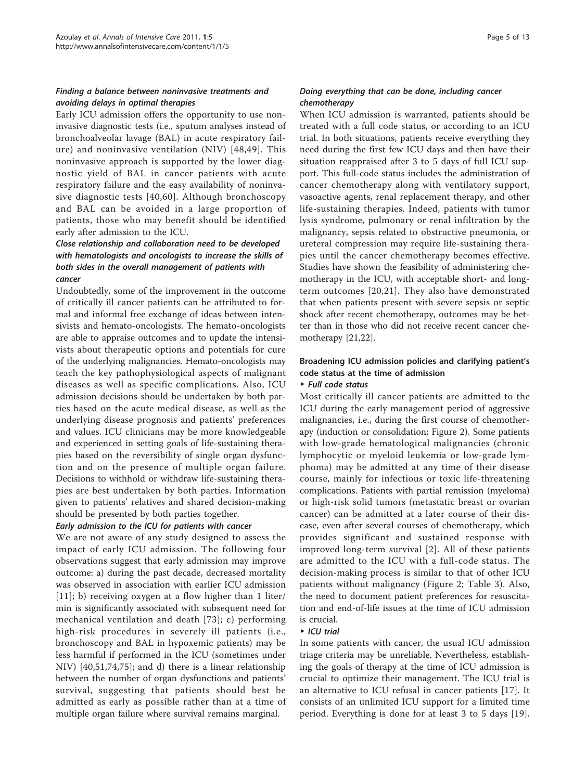#### Finding a balance between noninvasive treatments and avoiding delays in optimal therapies

Early ICU admission offers the opportunity to use noninvasive diagnostic tests (i.e., sputum analyses instead of bronchoalveolar lavage (BAL) in acute respiratory failure) and noninvasive ventilation (NIV) [[48](#page-10-0),[49\]](#page-10-0). This noninvasive approach is supported by the lower diagnostic yield of BAL in cancer patients with acute respiratory failure and the easy availability of noninvasive diagnostic tests [[40,](#page-10-0)[60\]](#page-11-0). Although bronchoscopy and BAL can be avoided in a large proportion of patients, those who may benefit should be identified early after admission to the ICU.

#### Close relationship and collaboration need to be developed with hematologists and oncologists to increase the skills of both sides in the overall management of patients with cancer

Undoubtedly, some of the improvement in the outcome of critically ill cancer patients can be attributed to formal and informal free exchange of ideas between intensivists and hemato-oncologists. The hemato-oncologists are able to appraise outcomes and to update the intensivists about therapeutic options and potentials for cure of the underlying malignancies. Hemato-oncologists may teach the key pathophysiological aspects of malignant diseases as well as specific complications. Also, ICU admission decisions should be undertaken by both parties based on the acute medical disease, as well as the underlying disease prognosis and patients' preferences and values. ICU clinicians may be more knowledgeable and experienced in setting goals of life-sustaining therapies based on the reversibility of single organ dysfunction and on the presence of multiple organ failure. Decisions to withhold or withdraw life-sustaining therapies are best undertaken by both parties. Information given to patients' relatives and shared decision-making should be presented by both parties together.

#### Early admission to the ICU for patients with cancer

We are not aware of any study designed to assess the impact of early ICU admission. The following four observations suggest that early admission may improve outcome: a) during the past decade, decreased mortality was observed in association with earlier ICU admission [[11](#page-9-0)]; b) receiving oxygen at a flow higher than 1 liter/ min is significantly associated with subsequent need for mechanical ventilation and death [[73\]](#page-11-0); c) performing high-risk procedures in severely ill patients (i.e., bronchoscopy and BAL in hypoxemic patients) may be less harmful if performed in the ICU (sometimes under NIV) [\[40,51,](#page-10-0)[74,75](#page-11-0)]; and d) there is a linear relationship between the number of organ dysfunctions and patients' survival, suggesting that patients should best be admitted as early as possible rather than at a time of multiple organ failure where survival remains marginal.

#### Doing everything that can be done, including cancer chemotherapy

When ICU admission is warranted, patients should be treated with a full code status, or according to an ICU trial. In both situations, patients receive everything they need during the first few ICU days and then have their situation reappraised after 3 to 5 days of full ICU support. This full-code status includes the administration of cancer chemotherapy along with ventilatory support, vasoactive agents, renal replacement therapy, and other life-sustaining therapies. Indeed, patients with tumor lysis syndrome, pulmonary or renal infiltration by the malignancy, sepsis related to obstructive pneumonia, or ureteral compression may require life-sustaining therapies until the cancer chemotherapy becomes effective. Studies have shown the feasibility of administering chemotherapy in the ICU, with acceptable short- and longterm outcomes [[20,21\]](#page-9-0). They also have demonstrated that when patients present with severe sepsis or septic shock after recent chemotherapy, outcomes may be better than in those who did not receive recent cancer chemotherapy [[21,](#page-9-0)[22](#page-10-0)].

#### Broadening ICU admission policies and clarifying patient's code status at the time of admission

#### $\blacktriangleright$  Full code status

Most critically ill cancer patients are admitted to the ICU during the early management period of aggressive malignancies, i.e., during the first course of chemotherapy (induction or consolidation; Figure [2](#page-5-0)). Some patients with low-grade hematological malignancies (chronic lymphocytic or myeloid leukemia or low-grade lymphoma) may be admitted at any time of their disease course, mainly for infectious or toxic life-threatening complications. Patients with partial remission (myeloma) or high-risk solid tumors (metastatic breast or ovarian cancer) can be admitted at a later course of their disease, even after several courses of chemotherapy, which provides significant and sustained response with improved long-term survival [[2](#page-9-0)]. All of these patients are admitted to the ICU with a full-code status. The decision-making process is similar to that of other ICU patients without malignancy (Figure [2](#page-5-0); Table [3\)](#page-6-0). Also, the need to document patient preferences for resuscitation and end-of-life issues at the time of ICU admission is crucial.

#### ▶ ICU trial

In some patients with cancer, the usual ICU admission triage criteria may be unreliable. Nevertheless, establishing the goals of therapy at the time of ICU admission is crucial to optimize their management. The ICU trial is an alternative to ICU refusal in cancer patients [[17\]](#page-9-0). It consists of an unlimited ICU support for a limited time period. Everything is done for at least 3 to 5 days [[19](#page-9-0)].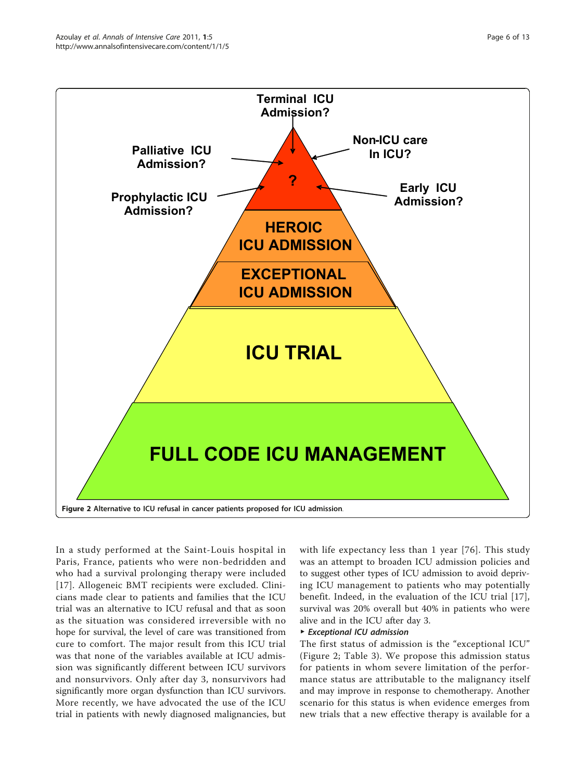<span id="page-5-0"></span>

In a study performed at the Saint-Louis hospital in Paris, France, patients who were non-bedridden and who had a survival prolonging therapy were included [[17](#page-9-0)]. Allogeneic BMT recipients were excluded. Clinicians made clear to patients and families that the ICU trial was an alternative to ICU refusal and that as soon as the situation was considered irreversible with no hope for survival, the level of care was transitioned from cure to comfort. The major result from this ICU trial was that none of the variables available at ICU admission was significantly different between ICU survivors and nonsurvivors. Only after day 3, nonsurvivors had significantly more organ dysfunction than ICU survivors. More recently, we have advocated the use of the ICU trial in patients with newly diagnosed malignancies, but

with life expectancy less than 1 year [[76\]](#page-11-0). This study was an attempt to broaden ICU admission policies and to suggest other types of ICU admission to avoid depriving ICU management to patients who may potentially benefit. Indeed, in the evaluation of the ICU trial [[17](#page-9-0)], survival was 20% overall but 40% in patients who were alive and in the ICU after day 3.

#### ▶ Exceptional ICU admission

The first status of admission is the "exceptional ICU" (Figure 2; Table [3\)](#page-6-0). We propose this admission status for patients in whom severe limitation of the performance status are attributable to the malignancy itself and may improve in response to chemotherapy. Another scenario for this status is when evidence emerges from new trials that a new effective therapy is available for a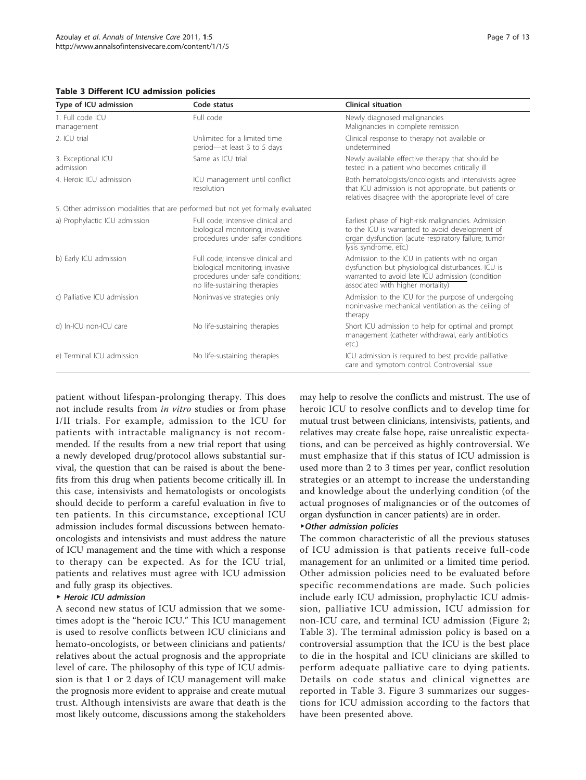<span id="page-6-0"></span>Table 3 Different ICU admission policies

| Type of ICU admission           | Code status                                                                                                                               | <b>Clinical situation</b>                                                                                                                                                                     |
|---------------------------------|-------------------------------------------------------------------------------------------------------------------------------------------|-----------------------------------------------------------------------------------------------------------------------------------------------------------------------------------------------|
| 1. Full code ICU<br>management  | Full code                                                                                                                                 | Newly diagnosed malignancies<br>Malignancies in complete remission                                                                                                                            |
| 2. ICU trial                    | Unlimited for a limited time<br>period-at least 3 to 5 days                                                                               | Clinical response to therapy not available or<br>undetermined                                                                                                                                 |
| 3. Exceptional ICU<br>admission | Same as ICU trial                                                                                                                         | Newly available effective therapy that should be<br>tested in a patient who becomes critically ill                                                                                            |
| 4. Heroic ICU admission         | ICU management until conflict<br>resolution                                                                                               | Both hematologists/oncologists and intensivists agree<br>that ICU admission is not appropriate, but patients or<br>relatives disagree with the appropriate level of care                      |
|                                 | 5. Other admission modalities that are performed but not yet formally evaluated                                                           |                                                                                                                                                                                               |
| a) Prophylactic ICU admission   | Full code; intensive clinical and<br>biological monitoring; invasive<br>procedures under safer conditions                                 | Earliest phase of high-risk malignancies. Admission<br>to the ICU is warranted to avoid development of<br>organ dysfunction (acute respiratory failure, tumor<br>lysis syndrome, etc.)        |
| b) Early ICU admission          | Full code; intensive clinical and<br>biological monitoring; invasive<br>procedures under safe conditions;<br>no life-sustaining therapies | Admission to the ICU in patients with no organ<br>dysfunction but physiological disturbances. ICU is<br>warranted to avoid late ICU admission (condition<br>associated with higher mortality) |
| c) Palliative ICU admission     | Noninvasive strategies only                                                                                                               | Admission to the ICU for the purpose of undergoing<br>noninvasive mechanical ventilation as the ceiling of<br>therapy                                                                         |
| d) In-ICU non-ICU care          | No life-sustaining therapies                                                                                                              | Short ICU admission to help for optimal and prompt<br>management (catheter withdrawal, early antibiotics<br>$etc.$ )                                                                          |
| e) Terminal ICU admission       | No life-sustaining therapies                                                                                                              | ICU admission is required to best provide palliative<br>care and symptom control. Controversial issue                                                                                         |

patient without lifespan-prolonging therapy. This does not include results from in vitro studies or from phase I/II trials. For example, admission to the ICU for patients with intractable malignancy is not recommended. If the results from a new trial report that using a newly developed drug/protocol allows substantial survival, the question that can be raised is about the benefits from this drug when patients become critically ill. In this case, intensivists and hematologists or oncologists should decide to perform a careful evaluation in five to ten patients. In this circumstance, exceptional ICU admission includes formal discussions between hematooncologists and intensivists and must address the nature of ICU management and the time with which a response to therapy can be expected. As for the ICU trial, patients and relatives must agree with ICU admission and fully grasp its objectives.

#### ▶ Heroic ICU admission

A second new status of ICU admission that we sometimes adopt is the "heroic ICU." This ICU management is used to resolve conflicts between ICU clinicians and hemato-oncologists, or between clinicians and patients/ relatives about the actual prognosis and the appropriate level of care. The philosophy of this type of ICU admission is that 1 or 2 days of ICU management will make the prognosis more evident to appraise and create mutual trust. Although intensivists are aware that death is the most likely outcome, discussions among the stakeholders

may help to resolve the conflicts and mistrust. The use of heroic ICU to resolve conflicts and to develop time for mutual trust between clinicians, intensivists, patients, and relatives may create false hope, raise unrealistic expectations, and can be perceived as highly controversial. We must emphasize that if this status of ICU admission is used more than 2 to 3 times per year, conflict resolution strategies or an attempt to increase the understanding and knowledge about the underlying condition (of the actual prognoses of malignancies or of the outcomes of organ dysfunction in cancer patients) are in order.

#### ▶Other admission policies

The common characteristic of all the previous statuses of ICU admission is that patients receive full-code management for an unlimited or a limited time period. Other admission policies need to be evaluated before specific recommendations are made. Such policies include early ICU admission, prophylactic ICU admission, palliative ICU admission, ICU admission for non-ICU care, and terminal ICU admission (Figure [2](#page-5-0); Table 3). The terminal admission policy is based on a controversial assumption that the ICU is the best place to die in the hospital and ICU clinicians are skilled to perform adequate palliative care to dying patients. Details on code status and clinical vignettes are reported in Table 3. Figure [3](#page-7-0) summarizes our suggestions for ICU admission according to the factors that have been presented above.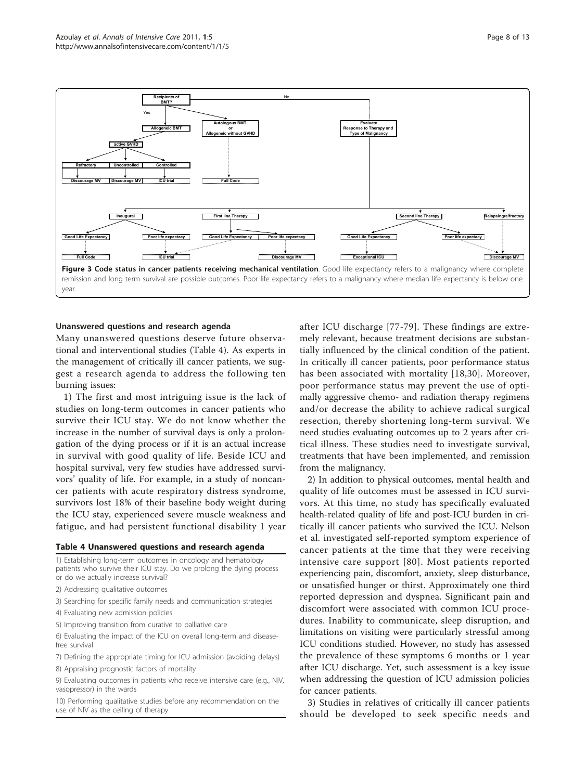<span id="page-7-0"></span>

Page 8 of 13

## Unanswered questions and research agenda

Many unanswered questions deserve future observational and interventional studies (Table 4). As experts in the management of critically ill cancer patients, we suggest a research agenda to address the following ten burning issues:

1) The first and most intriguing issue is the lack of studies on long-term outcomes in cancer patients who survive their ICU stay. We do not know whether the increase in the number of survival days is only a prolongation of the dying process or if it is an actual increase in survival with good quality of life. Beside ICU and hospital survival, very few studies have addressed survivors' quality of life. For example, in a study of noncancer patients with acute respiratory distress syndrome, survivors lost 18% of their baseline body weight during the ICU stay, experienced severe muscle weakness and fatigue, and had persistent functional disability 1 year

#### Table 4 Unanswered questions and research agenda

1) Establishing long-term outcomes in oncology and hematology patients who survive their ICU stay. Do we prolong the dying process or do we actually increase survival?

- 2) Addressing qualitative outcomes
- 3) Searching for specific family needs and communication strategies
- 4) Evaluating new admission policies
- 5) Improving transition from curative to palliative care

6) Evaluating the impact of the ICU on overall long-term and diseasefree survival

- 7) Defining the appropriate timing for ICU admission (avoiding delays)
- 8) Appraising prognostic factors of mortality
- 9) Evaluating outcomes in patients who receive intensive care (e.g., NIV, vasopressor) in the wards

10) Performing qualitative studies before any recommendation on the use of NIV as the ceiling of therapy

after ICU discharge [\[77-79\]](#page-11-0). These findings are extremely relevant, because treatment decisions are substantially influenced by the clinical condition of the patient. In critically ill cancer patients, poor performance status has been associated with mortality [[18,](#page-9-0)[30](#page-10-0)]. Moreover, poor performance status may prevent the use of optimally aggressive chemo- and radiation therapy regimens and/or decrease the ability to achieve radical surgical resection, thereby shortening long-term survival. We need studies evaluating outcomes up to 2 years after critical illness. These studies need to investigate survival, treatments that have been implemented, and remission from the malignancy.

2) In addition to physical outcomes, mental health and quality of life outcomes must be assessed in ICU survivors. At this time, no study has specifically evaluated health-related quality of life and post-ICU burden in critically ill cancer patients who survived the ICU. Nelson et al. investigated self-reported symptom experience of cancer patients at the time that they were receiving intensive care support [[80](#page-11-0)]. Most patients reported experiencing pain, discomfort, anxiety, sleep disturbance, or unsatisfied hunger or thirst. Approximately one third reported depression and dyspnea. Significant pain and discomfort were associated with common ICU procedures. Inability to communicate, sleep disruption, and limitations on visiting were particularly stressful among ICU conditions studied. However, no study has assessed the prevalence of these symptoms 6 months or 1 year after ICU discharge. Yet, such assessment is a key issue when addressing the question of ICU admission policies for cancer patients.

3) Studies in relatives of critically ill cancer patients should be developed to seek specific needs and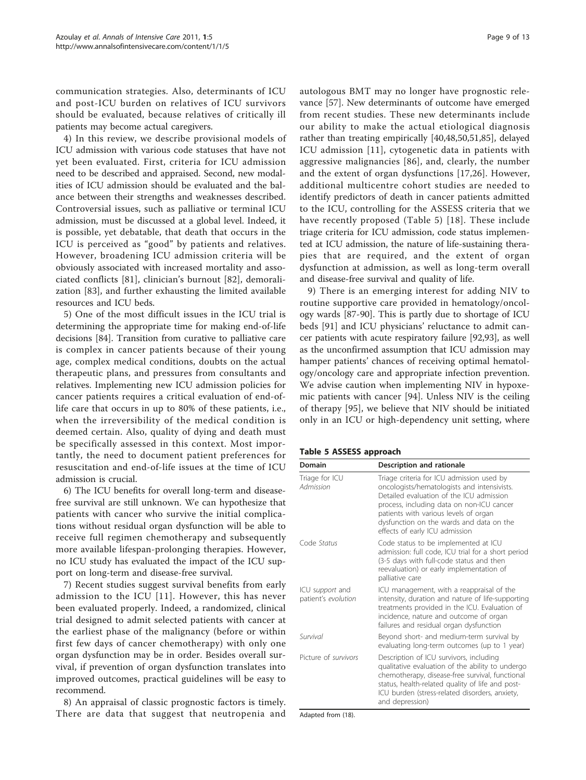communication strategies. Also, determinants of ICU and post-ICU burden on relatives of ICU survivors should be evaluated, because relatives of critically ill patients may become actual caregivers.

4) In this review, we describe provisional models of ICU admission with various code statuses that have not yet been evaluated. First, criteria for ICU admission need to be described and appraised. Second, new modalities of ICU admission should be evaluated and the balance between their strengths and weaknesses described. Controversial issues, such as palliative or terminal ICU admission, must be discussed at a global level. Indeed, it is possible, yet debatable, that death that occurs in the ICU is perceived as "good" by patients and relatives. However, broadening ICU admission criteria will be obviously associated with increased mortality and associated conflicts [[81\]](#page-11-0), clinician's burnout [[82](#page-11-0)], demoralization [[83\]](#page-11-0), and further exhausting the limited available resources and ICU beds.

5) One of the most difficult issues in the ICU trial is determining the appropriate time for making end-of-life decisions [\[84\]](#page-11-0). Transition from curative to palliative care is complex in cancer patients because of their young age, complex medical conditions, doubts on the actual therapeutic plans, and pressures from consultants and relatives. Implementing new ICU admission policies for cancer patients requires a critical evaluation of end-oflife care that occurs in up to 80% of these patients, i.e., when the irreversibility of the medical condition is deemed certain. Also, quality of dying and death must be specifically assessed in this context. Most importantly, the need to document patient preferences for resuscitation and end-of-life issues at the time of ICU admission is crucial.

6) The ICU benefits for overall long-term and diseasefree survival are still unknown. We can hypothesize that patients with cancer who survive the initial complications without residual organ dysfunction will be able to receive full regimen chemotherapy and subsequently more available lifespan-prolonging therapies. However, no ICU study has evaluated the impact of the ICU support on long-term and disease-free survival.

7) Recent studies suggest survival benefits from early admission to the ICU [[11](#page-9-0)]. However, this has never been evaluated properly. Indeed, a randomized, clinical trial designed to admit selected patients with cancer at the earliest phase of the malignancy (before or within first few days of cancer chemotherapy) with only one organ dysfunction may be in order. Besides overall survival, if prevention of organ dysfunction translates into improved outcomes, practical guidelines will be easy to recommend.

8) An appraisal of classic prognostic factors is timely. There are data that suggest that neutropenia and autologous BMT may no longer have prognostic relevance [\[57\]](#page-10-0). New determinants of outcome have emerged from recent studies. These new determinants include our ability to make the actual etiological diagnosis rather than treating empirically [\[40,48,50,51](#page-10-0)[,85](#page-11-0)], delayed ICU admission [\[11\]](#page-9-0), cytogenetic data in patients with aggressive malignancies [[86\]](#page-11-0), and, clearly, the number and the extent of organ dysfunctions [[17,](#page-9-0)[26](#page-10-0)]. However, additional multicentre cohort studies are needed to identify predictors of death in cancer patients admitted to the ICU, controlling for the ASSESS criteria that we have recently proposed (Table 5) [[18\]](#page-9-0). These include triage criteria for ICU admission, code status implemented at ICU admission, the nature of life-sustaining therapies that are required, and the extent of organ dysfunction at admission, as well as long-term overall and disease-free survival and quality of life.

9) There is an emerging interest for adding NIV to routine supportive care provided in hematology/oncology wards [[87](#page-11-0)-[90\]](#page-11-0). This is partly due to shortage of ICU beds [\[91](#page-11-0)] and ICU physicians' reluctance to admit cancer patients with acute respiratory failure [[92](#page-11-0),[93](#page-11-0)], as well as the unconfirmed assumption that ICU admission may hamper patients' chances of receiving optimal hematology/oncology care and appropriate infection prevention. We advise caution when implementing NIV in hypoxemic patients with cancer [[94\]](#page-11-0). Unless NIV is the ceiling of therapy [[95\]](#page-11-0), we believe that NIV should be initiated only in an ICU or high-dependency unit setting, where

Table 5 ASSESS approach

| Domain                                 | Description and rationale                                                                                                                                                                                                                                                                                |  |
|----------------------------------------|----------------------------------------------------------------------------------------------------------------------------------------------------------------------------------------------------------------------------------------------------------------------------------------------------------|--|
| Triage for ICU<br>Admission            | Triage criteria for ICU admission used by<br>oncologists/hematologists and intensivists.<br>Detailed evaluation of the ICU admission<br>process, including data on non-ICU cancer<br>patients with various levels of organ<br>dysfunction on the wards and data on the<br>effects of early ICU admission |  |
| Code Status                            | Code status to be implemented at ICU<br>admission: full code, ICU trial for a short period<br>(3-5 days with full-code status and then<br>reevaluation) or early implementation of<br>palliative care                                                                                                    |  |
| ICU support and<br>patient's evolution | ICU management, with a reappraisal of the<br>intensity, duration and nature of life-supporting<br>treatments provided in the ICU. Evaluation of<br>incidence, nature and outcome of organ<br>failures and residual organ dysfunction                                                                     |  |
| Survival                               | Beyond short- and medium-term survival by<br>evaluating long-term outcomes (up to 1 year)                                                                                                                                                                                                                |  |
| Picture of <i>survivors</i>            | Description of ICU survivors, including<br>qualitative evaluation of the ability to undergo<br>chemotherapy, disease-free survival, functional<br>status, health-related quality of life and post-<br>ICU burden (stress-related disorders, anxiety,<br>and depression)                                  |  |

Adapted from (18).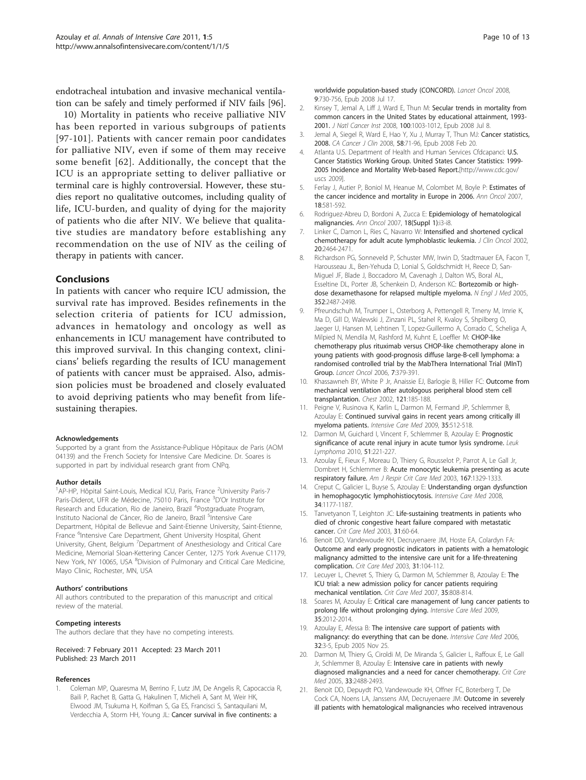<span id="page-9-0"></span>endotracheal intubation and invasive mechanical ventilation can be safely and timely performed if NIV fails [[96](#page-11-0)].

10) Mortality in patients who receive palliative NIV has been reported in various subgroups of patients [[97](#page-11-0)-[101](#page-12-0)]. Patients with cancer remain poor candidates for palliative NIV, even if some of them may receive some benefit [\[62\]](#page-11-0). Additionally, the concept that the ICU is an appropriate setting to deliver palliative or terminal care is highly controversial. However, these studies report no qualitative outcomes, including quality of life, ICU-burden, and quality of dying for the majority of patients who die after NIV. We believe that qualitative studies are mandatory before establishing any recommendation on the use of NIV as the ceiling of therapy in patients with cancer.

#### Conclusions

In patients with cancer who require ICU admission, the survival rate has improved. Besides refinements in the selection criteria of patients for ICU admission, advances in hematology and oncology as well as enhancements in ICU management have contributed to this improved survival. In this changing context, clinicians' beliefs regarding the results of ICU management of patients with cancer must be appraised. Also, admission policies must be broadened and closely evaluated to avoid depriving patients who may benefit from lifesustaining therapies.

#### Acknowledgements

Supported by a grant from the Assistance-Publique Hôpitaux de Paris (AOM 04139) and the French Society for Intensive Care Medicine. Dr. Soares is supported in part by individual research grant from CNPq.

#### Author details

<sup>1</sup>AP-HP, Hôpital Saint-Louis, Medical ICU, Paris, France <sup>2</sup>University Paris-7 Paris-Diderot, UFR de Médecine, 75010 Paris, France <sup>3</sup>D'Or Institute for Research and Education, Rio de Janeiro, Brazil <sup>4</sup>Postgraduate Program, Instituto Nacional de Câncer, Rio de Janeiro, Brazil <sup>5</sup>Intensive Care Department, Hôpital de Bellevue and Saint-Etienne University, Saint-Etienne, France <sup>6</sup>Intensive Care Department, Ghent University Hospital, Ghent University, Ghent, Belgium <sup>7</sup> Department of Anesthesiology and Critical Care Medicine, Memorial Sloan-Kettering Cancer Center, 1275 York Avenue C1179, New York, NY 10065, USA <sup>8</sup>Division of Pulmonary and Critical Care Medicine, Mayo Clinic, Rochester, MN, USA

#### Authors' contributions

All authors contributed to the preparation of this manuscript and critical review of the material.

#### Competing interests

The authors declare that they have no competing interests.

#### Received: 7 February 2011 Accepted: 23 March 2011 Published: 23 March 2011

#### References

1. Coleman MP, Quaresma M, Berrino F, Lutz JM, De Angelis R, Capocaccia R, Baili P, Rachet B, Gatta G, Hakulinen T, Micheli A, Sant M, Weir HK, Elwood JM, Tsukuma H, Koifman S, Ga ES, Francisci S, Santaquilani M, Verdecchia A, Storm HH, Young JL: [Cancer survival in five continents: a](http://www.ncbi.nlm.nih.gov/pubmed/18639491?dopt=Abstract)

[worldwide population-based study \(CONCORD\).](http://www.ncbi.nlm.nih.gov/pubmed/18639491?dopt=Abstract) Lancet Oncol 2008, 9:730-756, Epub 2008 Jul 17.

- 2. Kinsey T, Jemal A, Liff J, Ward E, Thun M: [Secular trends in mortality from](http://www.ncbi.nlm.nih.gov/pubmed/18612132?dopt=Abstract) [common cancers in the United States by educational attainment, 1993-](http://www.ncbi.nlm.nih.gov/pubmed/18612132?dopt=Abstract) [2001.](http://www.ncbi.nlm.nih.gov/pubmed/18612132?dopt=Abstract) J Natl Cancer Inst 2008, 100:1003-1012, Epub 2008 Jul 8.
- 3. Jemal A, Siegel R, Ward E, Hao Y, Xu J, Murray T, Thun MJ: [Cancer statistics,](http://www.ncbi.nlm.nih.gov/pubmed/18287387?dopt=Abstract) [2008.](http://www.ncbi.nlm.nih.gov/pubmed/18287387?dopt=Abstract) CA Cancer J Clin 2008, 58:71-96, Epub 2008 Feb 20.
- 4. Atlanta U.S. Department of Health and Human Services Cfdcapanci: U.S. Cancer Statistics Working Group. United States Cancer Statistics: 1999- 2005 Incidence and Mortality Web-based Report.[[http://www.cdc.gov/](http://www.cdc.gov/uscs 2009) [uscs 2009\]](http://www.cdc.gov/uscs 2009).
- 5. Ferlay J, Autier P, Boniol M, Heanue M, Colombet M, Boyle P: [Estimates of](http://www.ncbi.nlm.nih.gov/pubmed/17287242?dopt=Abstract) [the cancer incidence and mortality in Europe in 2006.](http://www.ncbi.nlm.nih.gov/pubmed/17287242?dopt=Abstract) Ann Oncol 2007, 18:581-592.
- 6. Rodriguez-Abreu D, Bordoni A, Zucca E: [Epidemiology of hematological](http://www.ncbi.nlm.nih.gov/pubmed/17311819?dopt=Abstract) [malignancies.](http://www.ncbi.nlm.nih.gov/pubmed/17311819?dopt=Abstract) Ann Oncol 2007, 18(Suppl 1):i3-i8.
- 7. Linker C, Damon L, Ries C, Navarro W: [Intensified and shortened cyclical](http://www.ncbi.nlm.nih.gov/pubmed/12011123?dopt=Abstract) [chemotherapy for adult acute lymphoblastic leukemia.](http://www.ncbi.nlm.nih.gov/pubmed/12011123?dopt=Abstract) J Clin Oncol 2002, 20:2464-2471.
- 8. Richardson PG, Sonneveld P, Schuster MW, Irwin D, Stadtmauer EA, Facon T, Harousseau JL, Ben-Yehuda D, Lonial S, Goldschmidt H, Reece D, San-Miguel JF, Blade J, Boccadoro M, Cavenagh J, Dalton WS, Boral AL, Esseltine DL, Porter JB, Schenkein D, Anderson KC: [Bortezomib or high](http://www.ncbi.nlm.nih.gov/pubmed/15958804?dopt=Abstract)[dose dexamethasone for relapsed multiple myeloma.](http://www.ncbi.nlm.nih.gov/pubmed/15958804?dopt=Abstract) N Engl J Med 2005, 352:2487-2498.
- 9. Pfreundschuh M, Trumper L, Osterborg A, Pettengell R, Trneny M, Imrie K, Ma D, Gill D, Walewski J, Zinzani PL, Stahel R, Kvaloy S, Shpilberg O, Jaeger U, Hansen M, Lehtinen T, Lopez-Guillermo A, Corrado C, Scheliga A, Milpied N, Mendila M, Rashford M, Kuhnt E, Loeffler M: [CHOP-like](http://www.ncbi.nlm.nih.gov/pubmed/16648042?dopt=Abstract) [chemotherapy plus rituximab versus CHOP-like chemotherapy alone in](http://www.ncbi.nlm.nih.gov/pubmed/16648042?dopt=Abstract) [young patients with good-prognosis diffuse large-B-cell lymphoma: a](http://www.ncbi.nlm.nih.gov/pubmed/16648042?dopt=Abstract) [randomised controlled trial by the MabThera International Trial \(MInT\)](http://www.ncbi.nlm.nih.gov/pubmed/16648042?dopt=Abstract) [Group.](http://www.ncbi.nlm.nih.gov/pubmed/16648042?dopt=Abstract) Lancet Oncol 2006, 7:379-391.
- 10. Khassawneh BY, White P Jr, Anaissie EJ, Barlogie B, Hiller FC: [Outcome from](http://www.ncbi.nlm.nih.gov/pubmed/11796449?dopt=Abstract) [mechanical ventilation after autologous peripheral blood stem cell](http://www.ncbi.nlm.nih.gov/pubmed/11796449?dopt=Abstract) [transplantation.](http://www.ncbi.nlm.nih.gov/pubmed/11796449?dopt=Abstract) Chest 2002, 121:185-188.
- 11. Peigne V, Rusinova K, Karlin L, Darmon M, Fermand JP, Schlemmer B, Azoulay E: [Continued survival gains in recent years among critically ill](http://www.ncbi.nlm.nih.gov/pubmed/18853139?dopt=Abstract) [myeloma patients.](http://www.ncbi.nlm.nih.gov/pubmed/18853139?dopt=Abstract) Intensive Care Med 2009, 35:512-518.
- 12. Darmon M, Guichard I, Vincent F, Schlemmer B, Azoulay E: [Prognostic](http://www.ncbi.nlm.nih.gov/pubmed/20001238?dopt=Abstract) [significance of acute renal injury in acute tumor lysis syndrome.](http://www.ncbi.nlm.nih.gov/pubmed/20001238?dopt=Abstract) Leuk Lymphoma 2010, 51:221-227.
- 13. Azoulay E, Fieux F, Moreau D, Thiery G, Rousselot P, Parrot A, Le Gall Jr, Dombret H, Schlemmer B: [Acute monocytic leukemia presenting as acute](http://www.ncbi.nlm.nih.gov/pubmed/12574074?dopt=Abstract) [respiratory failure.](http://www.ncbi.nlm.nih.gov/pubmed/12574074?dopt=Abstract) Am J Respir Crit Care Med 2003, 167:1329-1333.
- 14. Creput C, Galicier L, Buyse S, Azoulay E: [Understanding organ dysfunction](http://www.ncbi.nlm.nih.gov/pubmed/18427781?dopt=Abstract) [in hemophagocytic lymphohistiocytosis.](http://www.ncbi.nlm.nih.gov/pubmed/18427781?dopt=Abstract) Intensive Care Med 2008, 34:1177-1187.
- 15. Tanvetyanon T, Leighton JC: [Life-sustaining treatments in patients who](http://www.ncbi.nlm.nih.gov/pubmed/12544994?dopt=Abstract) [died of chronic congestive heart failure compared with metastatic](http://www.ncbi.nlm.nih.gov/pubmed/12544994?dopt=Abstract) [cancer.](http://www.ncbi.nlm.nih.gov/pubmed/12544994?dopt=Abstract) Crit Care Med 2003, 31:60-64.
- 16. Benoit DD, Vandewoude KH, Decruyenaere JM, Hoste EA, Colardyn FA: [Outcome and early prognostic indicators in patients with a hematologic](http://www.ncbi.nlm.nih.gov/pubmed/12545002?dopt=Abstract) [malignancy admitted to the intensive care unit for a life-threatening](http://www.ncbi.nlm.nih.gov/pubmed/12545002?dopt=Abstract) [complication.](http://www.ncbi.nlm.nih.gov/pubmed/12545002?dopt=Abstract) Crit Care Med 2003, 31:104-112.
- 17. Lecuyer L, Chevret S, Thiery G, Darmon M, Schlemmer B, Azoulay E: [The](http://www.ncbi.nlm.nih.gov/pubmed/17235261?dopt=Abstract) [ICU trial: a new admission policy for cancer patients requiring](http://www.ncbi.nlm.nih.gov/pubmed/17235261?dopt=Abstract) [mechanical ventilation.](http://www.ncbi.nlm.nih.gov/pubmed/17235261?dopt=Abstract) Crit Care Med 2007, 35:808-814.
- 18. Soares M, Azoulay E: [Critical care management of lung cancer patients to](http://www.ncbi.nlm.nih.gov/pubmed/19768452?dopt=Abstract) [prolong life without prolonging dying.](http://www.ncbi.nlm.nih.gov/pubmed/19768452?dopt=Abstract) Intensive Care Med 2009, 35:2012-2014.
- 19. Azoulay E, Afessa B: [The intensive care support of patients with](http://www.ncbi.nlm.nih.gov/pubmed/16308682?dopt=Abstract) [malignancy: do everything that can be done.](http://www.ncbi.nlm.nih.gov/pubmed/16308682?dopt=Abstract) Intensive Care Med 2006, 32:3-5, Epub 2005 Nov 25.
- 20. Darmon M, Thiery G, Ciroldi M, De Miranda S, Galicier L, Raffoux E, Le Gall Jr, Schlemmer B, Azoulay E: [Intensive care in patients with newly](http://www.ncbi.nlm.nih.gov/pubmed/16276171?dopt=Abstract) [diagnosed malignancies and a need for cancer chemotherapy.](http://www.ncbi.nlm.nih.gov/pubmed/16276171?dopt=Abstract) Crit Care Med 2005, 33:2488-2493.
- 21. Benoit DD, Depuydt PO, Vandewoude KH, Offner FC, Boterberg T, De Cock CA, Noens LA, Janssens AM, Decruyenaere JM: [Outcome in severely](http://www.ncbi.nlm.nih.gov/pubmed/16308681?dopt=Abstract) [ill patients with hematological malignancies who received intravenous](http://www.ncbi.nlm.nih.gov/pubmed/16308681?dopt=Abstract)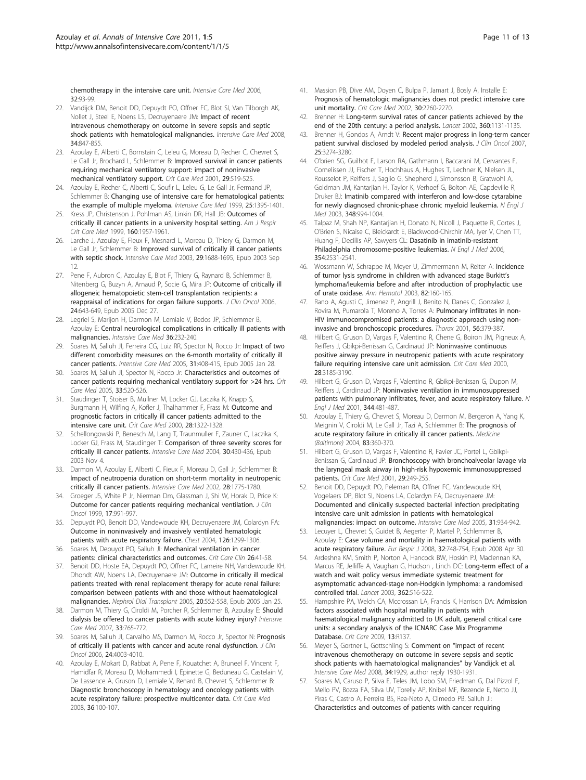<span id="page-10-0"></span>[chemotherapy in the intensive care unit.](http://www.ncbi.nlm.nih.gov/pubmed/16308681?dopt=Abstract) Intensive Care Med 2006, 32:93-99.

- 22. Vandijck DM, Benoit DD, Depuydt PO, Offner FC, Blot SI, Van Tilborgh AK, Nollet J, Steel E, Noens LS, Decruyenaere JM: [Impact of recent](http://www.ncbi.nlm.nih.gov/pubmed/18214437?dopt=Abstract) [intravenous chemotherapy on outcome in severe sepsis and septic](http://www.ncbi.nlm.nih.gov/pubmed/18214437?dopt=Abstract) [shock patients with hematological malignancies.](http://www.ncbi.nlm.nih.gov/pubmed/18214437?dopt=Abstract) Intensive Care Med 2008, 34:847-855.
- 23. Azoulay E, Alberti C, Bornstain C, Leleu G, Moreau D, Recher C, Chevret S, Le Gall Jr, Brochard L, Schlemmer B: [Improved survival in cancer patients](http://www.ncbi.nlm.nih.gov/pubmed/11373414?dopt=Abstract) [requiring mechanical ventilatory support: impact of noninvasive](http://www.ncbi.nlm.nih.gov/pubmed/11373414?dopt=Abstract) [mechanical ventilatory support.](http://www.ncbi.nlm.nih.gov/pubmed/11373414?dopt=Abstract) Crit Care Med 2001, 29:519-525.
- 24. Azoulay E, Recher C, Alberti C, Soufir L, Leleu G, Le Gall Jr, Fermand JP, Schlemmer B: [Changing use of intensive care for hematological patients:](http://www.ncbi.nlm.nih.gov/pubmed/10660847?dopt=Abstract) [the example of multiple myeloma.](http://www.ncbi.nlm.nih.gov/pubmed/10660847?dopt=Abstract) Intensive Care Med 1999, 25:1395-1401.
- 25. Kress JP, Christenson J, Pohlman AS, Linkin DR, Hall JB: [Outcomes of](http://www.ncbi.nlm.nih.gov/pubmed/10588613?dopt=Abstract) [critically ill cancer patients in a university hospital setting.](http://www.ncbi.nlm.nih.gov/pubmed/10588613?dopt=Abstract) Am J Respir Crit Care Med 1999, 160:1957-1961.
- 26. Larche J, Azoulay E, Fieux F, Mesnard L, Moreau D, Thiery G, Darmon M, Le Gall Jr, Schlemmer B: [Improved survival of critically ill cancer patients](http://www.ncbi.nlm.nih.gov/pubmed/13680115?dopt=Abstract) [with septic shock.](http://www.ncbi.nlm.nih.gov/pubmed/13680115?dopt=Abstract) Intensive Care Med 2003, 29:1688-1695, Epub 2003 Sep 12.
- 27. Pene F, Aubron C, Azoulay E, Blot F, Thiery G, Raynard B, Schlemmer B, Nitenberg G, Buzyn A, Arnaud P, Socie G, Mira JP: [Outcome of critically ill](http://www.ncbi.nlm.nih.gov/pubmed/16380411?dopt=Abstract) [allogeneic hematopoietic stem-cell transplantation recipients: a](http://www.ncbi.nlm.nih.gov/pubmed/16380411?dopt=Abstract) [reappraisal of indications for organ failure supports.](http://www.ncbi.nlm.nih.gov/pubmed/16380411?dopt=Abstract) J Clin Oncol 2006, 24:643-649, Epub 2005 Dec 27.
- 28. Legriel S, Marijon H, Darmon M, Lemiale V, Bedos JP, Schlemmer B, Azoulay E: [Central neurological complications in critically ill patients with](http://www.ncbi.nlm.nih.gov/pubmed/19908028?dopt=Abstract) [malignancies.](http://www.ncbi.nlm.nih.gov/pubmed/19908028?dopt=Abstract) Intensive Care Med 36:232-240.
- 29. Soares M, Salluh JI, Ferreira CG, Luiz RR, Spector N, Rocco Jr: [Impact of two](http://www.ncbi.nlm.nih.gov/pubmed/15678310?dopt=Abstract) [different comorbidity measures on the 6-month mortality of critically ill](http://www.ncbi.nlm.nih.gov/pubmed/15678310?dopt=Abstract) [cancer patients.](http://www.ncbi.nlm.nih.gov/pubmed/15678310?dopt=Abstract) Intensive Care Med 2005, 31:408-415, Epub 2005 Jan 28.
- 30. Soares M, Salluh JI, Spector N, Rocco Jr: [Characteristics and outcomes of](http://www.ncbi.nlm.nih.gov/pubmed/15753742?dopt=Abstract) [cancer patients requiring mechanical ventilatory support for >24 hrs.](http://www.ncbi.nlm.nih.gov/pubmed/15753742?dopt=Abstract) Crit Care Med 2005, 33:520-526.
- 31. Staudinger T, Stoiser B, Mullner M, Locker GJ, Laczika K, Knapp S, Burgmann H, Wilfing A, Kofler J, Thalhammer F, Frass M: [Outcome and](http://www.ncbi.nlm.nih.gov/pubmed/10834673?dopt=Abstract) [prognostic factors in critically ill cancer patients admitted to the](http://www.ncbi.nlm.nih.gov/pubmed/10834673?dopt=Abstract) [intensive care unit.](http://www.ncbi.nlm.nih.gov/pubmed/10834673?dopt=Abstract) Crit Care Med 2000, 28:1322-1328.
- 32. Schellongowski P, Benesch M, Lang T, Traunmuller F, Zauner C, Laczika K, Locker GJ, Frass M, Staudinger T: [Comparison of three severity scores for](http://www.ncbi.nlm.nih.gov/pubmed/14598029?dopt=Abstract) [critically ill cancer patients.](http://www.ncbi.nlm.nih.gov/pubmed/14598029?dopt=Abstract) Intensive Care Med 2004, 30:430-436, Epub 2003 Nov 4.
- 33. Darmon M, Azoulay E, Alberti C, Fieux F, Moreau D, Gall Jr, Schlemmer B: [Impact of neutropenia duration on short-term mortality in neutropenic](http://www.ncbi.nlm.nih.gov/pubmed/12447522?dopt=Abstract) [critically ill cancer patients.](http://www.ncbi.nlm.nih.gov/pubmed/12447522?dopt=Abstract) Intensive Care Med 2002, 28:1775-1780.
- 34. Groeger JS, White P Jr, Nierman Dm, Glassman J, Shi W, Horak D, Price K: [Outcome for cancer patients requiring mechanical ventilation.](http://www.ncbi.nlm.nih.gov/pubmed/10071294?dopt=Abstract) J Clin Oncol 1999, 17:991-997.
- 35. Depuydt PO, Benoit DD, Vandewoude KH, Decruyenaere JM, Colardyn FA: [Outcome in noninvasively and invasively ventilated hematologic](http://www.ncbi.nlm.nih.gov/pubmed/15486396?dopt=Abstract) [patients with acute respiratory failure.](http://www.ncbi.nlm.nih.gov/pubmed/15486396?dopt=Abstract) Chest 2004, 126:1299-1306.
- 36. Soares M, Depuydt PO, Salluh JI: [Mechanical ventilation in cancer](http://www.ncbi.nlm.nih.gov/pubmed/19944275?dopt=Abstract) [patients: clinical characteristics and outcomes.](http://www.ncbi.nlm.nih.gov/pubmed/19944275?dopt=Abstract) Crit Care Clin 26:41-58.
- 37. Benoit DD, Hoste EA, Depuydt PO, Offner FC, Lameire NH, Vandewoude KH, Dhondt AW, Noens LA, Decruyenaere JM: [Outcome in critically ill medical](http://www.ncbi.nlm.nih.gov/pubmed/15671075?dopt=Abstract) [patients treated with renal replacement therapy for acute renal failure:](http://www.ncbi.nlm.nih.gov/pubmed/15671075?dopt=Abstract) [comparison between patients with and those without haematological](http://www.ncbi.nlm.nih.gov/pubmed/15671075?dopt=Abstract) [malignancies.](http://www.ncbi.nlm.nih.gov/pubmed/15671075?dopt=Abstract) Nephrol Dial Transplant 2005, 20:552-558, Epub 2005 Jan 25.
- 38. Darmon M, Thiery G, Ciroldi M, Porcher R, Schlemmer B, Azoulay E: [Should](http://www.ncbi.nlm.nih.gov/pubmed/17342514?dopt=Abstract) [dialysis be offered to cancer patients with acute kidney injury?](http://www.ncbi.nlm.nih.gov/pubmed/17342514?dopt=Abstract) Intensive Care Med 2007, 33:765-772.
- 39. Soares M, Salluh JI, Carvalho MS, Darmon M, Rocco Jr, Spector N: [Prognosis](http://www.ncbi.nlm.nih.gov/pubmed/16921054?dopt=Abstract) [of critically ill patients with cancer and acute renal dysfunction.](http://www.ncbi.nlm.nih.gov/pubmed/16921054?dopt=Abstract) J Clin Oncol 2006, 24:4003-4010.
- 40. Azoulay E, Mokart D, Rabbat A, Pene F, Kouatchet A, Bruneel F, Vincent F, Hamidfar R, Moreau D, Mohammedi I, Epinette G, Beduneau G, Castelain V, De Lassence A, Gruson D, Lemiale V, Renard B, Chevret S, Schlemmer B: [Diagnostic bronchoscopy in hematology and oncology patients with](http://www.ncbi.nlm.nih.gov/pubmed/18090351?dopt=Abstract) [acute respiratory failure: prospective multicenter data.](http://www.ncbi.nlm.nih.gov/pubmed/18090351?dopt=Abstract) Crit Care Med 2008, 36:100-107.
- 41. Massion PB, Dive AM, Doyen C, Bulpa P, Jamart J, Bosly A, Installe E: [Prognosis of hematologic malignancies does not predict intensive care](http://www.ncbi.nlm.nih.gov/pubmed/12394954?dopt=Abstract) [unit mortality.](http://www.ncbi.nlm.nih.gov/pubmed/12394954?dopt=Abstract) Crit Care Med 2002, 30:2260-2270.
- 42. Brenner H: [Long-term survival rates of cancer patients achieved by the](http://www.ncbi.nlm.nih.gov/pubmed/12387961?dopt=Abstract) [end of the 20th century: a period analysis.](http://www.ncbi.nlm.nih.gov/pubmed/12387961?dopt=Abstract) Lancet 2002, 360:1131-1135.
- 43. Brenner H, Gondos A, Arndt V: [Recent major progress in long-term cancer](http://www.ncbi.nlm.nih.gov/pubmed/17664474?dopt=Abstract) [patient survival disclosed by modeled period analysis.](http://www.ncbi.nlm.nih.gov/pubmed/17664474?dopt=Abstract) J Clin Oncol 2007, 25:3274-3280.
- 44. O'brien SG, Guilhot F, Larson RA, Gathmann I, Baccarani M, Cervantes F, Cornelissen JJ, Fischer T, Hochhaus A, Hughes T, Lechner K, Nielsen JL, Rousselot P, Reiffers J, Saglio G, Shepherd J, Simonsson B, Gratwohl A, Goldman JM, Kantarjian H, Taylor K, Verhoef G, Bolton AE, Capdeville R, Druker BJ: [Imatinib compared with interferon and low-dose cytarabine](http://www.ncbi.nlm.nih.gov/pubmed/12637609?dopt=Abstract) [for newly diagnosed chronic-phase chronic myeloid leukemia.](http://www.ncbi.nlm.nih.gov/pubmed/12637609?dopt=Abstract) N Engl J Med 2003, 348:994-1004.
- 45. Talpaz M, Shah NP, Kantarjian H, Donato N, Nicoll J, Paquette R, Cortes J, O'Brien S, Nicaise C, Bleickardt E, Blackwood-Chirchir MA, Iyer V, Chen TT, Huang F, Decillis AP, Sawyers CL: [Dasatinib in imatinib-resistant](http://www.ncbi.nlm.nih.gov/pubmed/16775234?dopt=Abstract) [Philadelphia chromosome-positive leukemias.](http://www.ncbi.nlm.nih.gov/pubmed/16775234?dopt=Abstract) N Engl J Med 2006, 354:2531-2541.
- 46. Wossmann W, Schrappe M, Meyer U, Zimmermann M, Reiter A: [Incidence](http://www.ncbi.nlm.nih.gov/pubmed/12634948?dopt=Abstract) [of tumor lysis syndrome in children with advanced stage Burkitt](http://www.ncbi.nlm.nih.gov/pubmed/12634948?dopt=Abstract)'s lymphoma/leukemia [before and after introduction of prophylactic use](http://www.ncbi.nlm.nih.gov/pubmed/12634948?dopt=Abstract) [of urate oxidase.](http://www.ncbi.nlm.nih.gov/pubmed/12634948?dopt=Abstract) Ann Hematol 2003, 82:160-165.
- 47. Rano A, Agusti C, Jimenez P, Angrill J, Benito N, Danes C, Gonzalez J, Rovira M, Pumarola T, Moreno A, Torres A: [Pulmonary infiltrates in non-](http://www.ncbi.nlm.nih.gov/pubmed/11312407?dopt=Abstract)[HIV immunocompromised patients: a diagnostic approach using non](http://www.ncbi.nlm.nih.gov/pubmed/11312407?dopt=Abstract)[invasive and bronchoscopic procedures.](http://www.ncbi.nlm.nih.gov/pubmed/11312407?dopt=Abstract) Thorax 2001, 56:379-387.
- 48. Hilbert G, Gruson D, Vargas F, Valentino R, Chene G, Boiron JM, Pigneux A, Reiffers J, Gbikpi-Benissan G, Cardinaud JP: [Noninvasive continuous](http://www.ncbi.nlm.nih.gov/pubmed/11008980?dopt=Abstract) [positive airway pressure in neutropenic patients with acute respiratory](http://www.ncbi.nlm.nih.gov/pubmed/11008980?dopt=Abstract) [failure requiring intensive care unit admission.](http://www.ncbi.nlm.nih.gov/pubmed/11008980?dopt=Abstract) Crit Care Med 2000, 28:3185-3190.
- 49. Hilbert G, Gruson D, Vargas F, Valentino R, Gbikpi-Benissan G, Dupon M, Reiffers J, Cardinaud JP: [Noninvasive ventilation in immunosuppressed](http://www.ncbi.nlm.nih.gov/pubmed/11172189?dopt=Abstract) [patients with pulmonary infiltrates, fever, and acute respiratory failure.](http://www.ncbi.nlm.nih.gov/pubmed/11172189?dopt=Abstract) N Engl J Med 2001, 344:481-487.
- 50. Azoulay E, Thiery G, Chevret S, Moreau D, Darmon M, Bergeron A, Yang K, Meignin V, Ciroldi M, Le Gall Jr, Tazi A, Schlemmer B: [The prognosis of](http://www.ncbi.nlm.nih.gov/pubmed/15525848?dopt=Abstract) [acute respiratory failure in critically ill cancer patients.](http://www.ncbi.nlm.nih.gov/pubmed/15525848?dopt=Abstract) Medicine (Baltimore) 2004, 83:360-370.
- 51. Hilbert G, Gruson D, Vargas F, Valentino R, Favier JC, Portel L, Gbikpi-Benissan G, Cardinaud JP: [Bronchoscopy with bronchoalveolar lavage via](http://www.ncbi.nlm.nih.gov/pubmed/11246301?dopt=Abstract) [the laryngeal mask airway in high-risk hypoxemic immunosuppressed](http://www.ncbi.nlm.nih.gov/pubmed/11246301?dopt=Abstract) [patients.](http://www.ncbi.nlm.nih.gov/pubmed/11246301?dopt=Abstract) Crit Care Med 2001, 29:249-255.
- 52. Benoit DD, Depuydt PO, Peleman RA, Offner FC, Vandewoude KH, Vogelaers DP, Blot SI, Noens LA, Colardyn FA, Decruyenaere JM: [Documented and clinically suspected bacterial infection precipitating](http://www.ncbi.nlm.nih.gov/pubmed/15782316?dopt=Abstract) [intensive care unit admission in patients with hematological](http://www.ncbi.nlm.nih.gov/pubmed/15782316?dopt=Abstract) [malignancies: impact on outcome.](http://www.ncbi.nlm.nih.gov/pubmed/15782316?dopt=Abstract) Intensive Care Med 2005, 31:934-942.
- 53. Lecuyer L, Chevret S, Guidet B, Aegerter P, Martel P, Schlemmer B, Azoulay E: [Case volume and mortality in haematological patients with](http://www.ncbi.nlm.nih.gov/pubmed/18448491?dopt=Abstract) [acute respiratory failure.](http://www.ncbi.nlm.nih.gov/pubmed/18448491?dopt=Abstract) Eur Respir J 2008, 32:748-754, Epub 2008 Apr 30.
- 54. Ardeshna KM, Smith P, Norton A, Hancock BW, Hoskin PJ, Maclennan KA, Marcus RE, Jelliffe A, Vaughan G, Hudson , Linch DC: [Long-term effect of a](http://www.ncbi.nlm.nih.gov/pubmed/12932382?dopt=Abstract) [watch and wait policy versus immediate systemic treatment for](http://www.ncbi.nlm.nih.gov/pubmed/12932382?dopt=Abstract) [asymptomatic advanced-stage non-Hodgkin lymphoma: a randomised](http://www.ncbi.nlm.nih.gov/pubmed/12932382?dopt=Abstract) [controlled trial.](http://www.ncbi.nlm.nih.gov/pubmed/12932382?dopt=Abstract) Lancet 2003, 362:516-522.
- 55. Hampshire PA, Welch CA, Mccrossan LA, Francis K, Harrison DA: [Admission](http://www.ncbi.nlm.nih.gov/pubmed/19706163?dopt=Abstract) [factors associated with hospital mortality in patients with](http://www.ncbi.nlm.nih.gov/pubmed/19706163?dopt=Abstract) [haematological malignancy admitted to UK adult, general critical care](http://www.ncbi.nlm.nih.gov/pubmed/19706163?dopt=Abstract) [units: a secondary analysis of the ICNARC Case Mix Programme](http://www.ncbi.nlm.nih.gov/pubmed/19706163?dopt=Abstract) [Database.](http://www.ncbi.nlm.nih.gov/pubmed/19706163?dopt=Abstract) Crit Care 2009, 13:R137.
- 56. Meyer S, Gortner L, Gottschling S: Comment on "[impact of recent](http://www.ncbi.nlm.nih.gov/pubmed/18636240?dopt=Abstract) [intravenous chemotherapy on outcome in severe sepsis and septic](http://www.ncbi.nlm.nih.gov/pubmed/18636240?dopt=Abstract) [shock patients with haematological malignancies](http://www.ncbi.nlm.nih.gov/pubmed/18636240?dopt=Abstract)" by Vandijck et al. Intensive Care Med 2008, 34:1929, author reply 1930-1931.
- 57. Soares M, Caruso P, Silva E, Teles JM, Lobo SM, Friedman G, Dal Pizzol F, Mello PV, Bozza FA, Silva UV, Torelly AP, Knibel MF, Rezende E, Netto JJ, Piras C, Castro A, Ferreira BS, Rea-Neto A, Olmedo PB, Salluh JI: [Characteristics and outcomes of patients with cancer requiring](http://www.ncbi.nlm.nih.gov/pubmed/19829101?dopt=Abstract)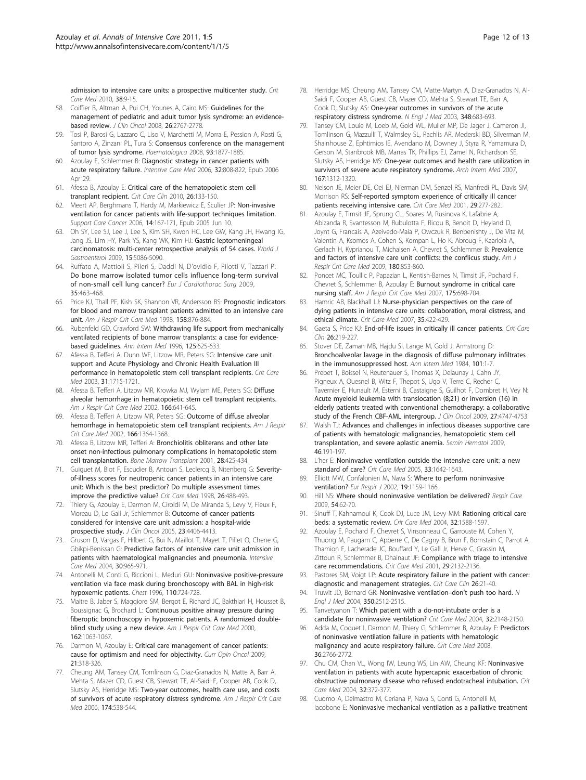<span id="page-11-0"></span>[admission to intensive care units: a prospective multicenter study.](http://www.ncbi.nlm.nih.gov/pubmed/19829101?dopt=Abstract) Crit Care Med 2010, 38:9-15.

- 58. Coiffier B, Altman A, Pui CH, Younes A, Cairo MS: [Guidelines for the](http://www.ncbi.nlm.nih.gov/pubmed/18509186?dopt=Abstract) [management of pediatric and adult tumor lysis syndrome: an evidence](http://www.ncbi.nlm.nih.gov/pubmed/18509186?dopt=Abstract)[based review.](http://www.ncbi.nlm.nih.gov/pubmed/18509186?dopt=Abstract) J Clin Oncol 2008, 26:2767-2778.
- 59. Tosi P, Barosi G, Lazzaro C, Liso V, Marchetti M, Morra E, Pession A, Rosti G, Santoro A, Zinzani PL, Tura S: [Consensus conference on the management](http://www.ncbi.nlm.nih.gov/pubmed/18838473?dopt=Abstract) [of tumor lysis syndrome.](http://www.ncbi.nlm.nih.gov/pubmed/18838473?dopt=Abstract) Haematologica 2008, 93:1877-1885.
- 60. Azoulay E, Schlemmer B: [Diagnostic strategy in cancer patients with](http://www.ncbi.nlm.nih.gov/pubmed/16715324?dopt=Abstract) [acute respiratory failure.](http://www.ncbi.nlm.nih.gov/pubmed/16715324?dopt=Abstract) Intensive Care Med 2006, 32:808-822, Epub 2006 Apr 29.
- 61. Afessa B, Azoulay E: [Critical care of the hematopoietic stem cell](http://www.ncbi.nlm.nih.gov/pubmed/19944279?dopt=Abstract) [transplant recipient.](http://www.ncbi.nlm.nih.gov/pubmed/19944279?dopt=Abstract) Crit Care Clin 2010, 26:133-150.
- 62. Meert AP, Berghmans T, Hardy M, Markiewicz E, Sculier JP: [Non-invasive](http://www.ncbi.nlm.nih.gov/pubmed/15947952?dopt=Abstract) [ventilation for cancer patients with life-support techniques limitation.](http://www.ncbi.nlm.nih.gov/pubmed/15947952?dopt=Abstract) Support Care Cancer 2006, 14:167-171, Epub 2005 Jun 10.
- 63. Oh SY, Lee SJ, Lee J, Lee S, Kim SH, Kwon HC, Lee GW, Kang JH, Hwang IG, Jang JS, Lim HY, Park YS, Kang WK, Kim HJ: [Gastric leptomeningeal](http://www.ncbi.nlm.nih.gov/pubmed/19860003?dopt=Abstract) [carcinomatosis: multi-center retrospective analysis of 54 cases.](http://www.ncbi.nlm.nih.gov/pubmed/19860003?dopt=Abstract) World J Gastroenterol 2009, 15:5086-5090.
- 64. Ruffato A, Mattioli S, Pileri S, Daddi N, D'ovidio F, Pilotti V, Tazzari P: [Do bone marrow isolated tumor cells influence long-term survival](http://www.ncbi.nlm.nih.gov/pubmed/19150243?dopt=Abstract) [of non-small cell lung cancer?](http://www.ncbi.nlm.nih.gov/pubmed/19150243?dopt=Abstract) Eur J Cardiothorac Surg 2009, 35:463-468.
- 65. Price KJ, Thall PF, Kish SK, Shannon VR, Andersson BS: [Prognostic indicators](http://www.ncbi.nlm.nih.gov/pubmed/9731020?dopt=Abstract) [for blood and marrow transplant patients admitted to an intensive care](http://www.ncbi.nlm.nih.gov/pubmed/9731020?dopt=Abstract) [unit.](http://www.ncbi.nlm.nih.gov/pubmed/9731020?dopt=Abstract) Am J Respir Crit Care Med 1998, 158:876-884.
- 66. Rubenfeld GD, Crawford SW: [Withdrawing life support from mechanically](http://www.ncbi.nlm.nih.gov/pubmed/8849146?dopt=Abstract) [ventilated recipients of bone marrow transplants: a case for evidence](http://www.ncbi.nlm.nih.gov/pubmed/8849146?dopt=Abstract)[based guidelines.](http://www.ncbi.nlm.nih.gov/pubmed/8849146?dopt=Abstract) Ann Intern Med 1996, 125:625-633.
- 67. Afessa B, Tefferi A, Dunn WF, Litzow MR, Peters SG: [Intensive care unit](http://www.ncbi.nlm.nih.gov/pubmed/12794410?dopt=Abstract) [support and Acute Physiology and Chronic Health Evaluation III](http://www.ncbi.nlm.nih.gov/pubmed/12794410?dopt=Abstract) [performance in hematopoietic stem cell transplant recipients.](http://www.ncbi.nlm.nih.gov/pubmed/12794410?dopt=Abstract) Crit Care Med 2003, 31:1715-1721.
- 68. Afessa B, Tefferi A, Litzow MR, Krowka MJ, Wylam ME, Peters SG: [Diffuse](http://www.ncbi.nlm.nih.gov/pubmed/12204858?dopt=Abstract) [alveolar hemorrhage in hematopoietic stem cell transplant recipients.](http://www.ncbi.nlm.nih.gov/pubmed/12204858?dopt=Abstract) Am J Respir Crit Care Med 2002, 166:641-645.
- 69. Afessa B, Tefferi A, Litzow MR, Peters SG: [Outcome of diffuse alveolar](http://www.ncbi.nlm.nih.gov/pubmed/12406834?dopt=Abstract) [hemorrhage in hematopoietic stem cell transplant recipients.](http://www.ncbi.nlm.nih.gov/pubmed/12406834?dopt=Abstract) Am J Respir Crit Care Med 2002, 166:1364-1368.
- 70. Afessa B, Litzow MR, Tefferi A: [Bronchiolitis obliterans and other late](http://www.ncbi.nlm.nih.gov/pubmed/11593314?dopt=Abstract) [onset non-infectious pulmonary complications in hematopoietic stem](http://www.ncbi.nlm.nih.gov/pubmed/11593314?dopt=Abstract) [cell transplantation.](http://www.ncbi.nlm.nih.gov/pubmed/11593314?dopt=Abstract) Bone Marrow Transplant 2001, 28:425-434.
- 71. Guiguet M, Blot F, Escudier B, Antoun S, Leclercq B, Nitenberg G: [Severity](http://www.ncbi.nlm.nih.gov/pubmed/9504577?dopt=Abstract)[of-illness scores for neutropenic cancer patients in an intensive care](http://www.ncbi.nlm.nih.gov/pubmed/9504577?dopt=Abstract) [unit: Which is the best predictor? Do multiple assessment times](http://www.ncbi.nlm.nih.gov/pubmed/9504577?dopt=Abstract) [improve the predictive value?](http://www.ncbi.nlm.nih.gov/pubmed/9504577?dopt=Abstract) Crit Care Med 1998, 26:488-493.
- 72. Thiery G, Azoulay E, Darmon M, Ciroldi M, De Miranda S, Levy V, Fieux F, Moreau D, Le Gall Jr, Schlemmer B: [Outcome of cancer patients](http://www.ncbi.nlm.nih.gov/pubmed/15994150?dopt=Abstract) [considered for intensive care unit admission: a hospital-wide](http://www.ncbi.nlm.nih.gov/pubmed/15994150?dopt=Abstract) [prospective study.](http://www.ncbi.nlm.nih.gov/pubmed/15994150?dopt=Abstract) J Clin Oncol 2005, 23:4406-4413.
- 73. Gruson D, Vargas F, Hilbert G, Bui N, Maillot T, Mayet T, Pillet O, Chene G, Gbikpi-Benissan G: [Predictive factors of intensive care unit admission in](http://www.ncbi.nlm.nih.gov/pubmed/15052383?dopt=Abstract) [patients with haematological malignancies and pneumonia.](http://www.ncbi.nlm.nih.gov/pubmed/15052383?dopt=Abstract) Intensive Care Med 2004, 30:965-971.
- 74. Antonelli M, Conti G, Riccioni L, Meduri GU: [Noninvasive positive-pressure](http://www.ncbi.nlm.nih.gov/pubmed/8797418?dopt=Abstract) [ventilation via face mask during bronchoscopy with BAL in high-risk](http://www.ncbi.nlm.nih.gov/pubmed/8797418?dopt=Abstract) [hypoxemic patients.](http://www.ncbi.nlm.nih.gov/pubmed/8797418?dopt=Abstract) Chest 1996, 110:724-728.
- 75. Maitre B, Jaber S, Maggiore SM, Bergot E, Richard JC, Bakthiari H, Housset B, Boussignac G, Brochard L: [Continuous positive airway pressure during](http://www.ncbi.nlm.nih.gov/pubmed/10988131?dopt=Abstract) [fiberoptic bronchoscopy in hypoxemic patients. A randomized double](http://www.ncbi.nlm.nih.gov/pubmed/10988131?dopt=Abstract)[blind study using a new device.](http://www.ncbi.nlm.nih.gov/pubmed/10988131?dopt=Abstract) Am J Respir Crit Care Med 2000, 162:1063-1067.
- 76. Darmon M, Azoulay E: [Critical care management of cancer patients:](http://www.ncbi.nlm.nih.gov/pubmed/19436200?dopt=Abstract) [cause for optimism and need for objectivity.](http://www.ncbi.nlm.nih.gov/pubmed/19436200?dopt=Abstract) Curr Opin Oncol 2009, 21:318-326.
- 77. Cheung AM, Tansey CM, Tomlinson G, Diaz-Granados N, Matte A, Barr A, Mehta S, Mazer CD, Guest CB, Stewart TE, Al-Saidi F, Cooper AB, Cook D, Slutsky AS, Herridge MS: [Two-year outcomes, health care use, and costs](http://www.ncbi.nlm.nih.gov/pubmed/16763220?dopt=Abstract) [of survivors of acute respiratory distress syndrome.](http://www.ncbi.nlm.nih.gov/pubmed/16763220?dopt=Abstract) Am J Respir Crit Care Med 2006, 174:538-544.
- 78. Herridge MS, Cheung AM, Tansey CM, Matte-Martyn A, Diaz-Granados N, Al-Saidi F, Cooper AB, Guest CB, Mazer CD, Mehta S, Stewart TE, Barr A, Cook D, Slutsky AS: [One-year outcomes in survivors of the acute](http://www.ncbi.nlm.nih.gov/pubmed/12594312?dopt=Abstract) [respiratory distress syndrome.](http://www.ncbi.nlm.nih.gov/pubmed/12594312?dopt=Abstract) N Engl J Med 2003, 348:683-693.
- 79. Tansey CM, Louie M, Loeb M, Gold WL, Muller MP, De Jager J, Cameron JI, Tomlinson G, Mazzulli T, Walmsley SL, Rachlis AR, Mederski BD, Silverman M, Shainhouse Z, Ephtimios IE, Avendano M, Downey J, Styra R, Yamamura D, Gerson M, Stanbrook MB, Marras TK, Phillips EJ, Zamel N, Richardson SE, Slutsky AS, Herridge MS: [One-year outcomes and health care utilization in](http://www.ncbi.nlm.nih.gov/pubmed/17592106?dopt=Abstract) [survivors of severe acute respiratory syndrome.](http://www.ncbi.nlm.nih.gov/pubmed/17592106?dopt=Abstract) Arch Intern Med 2007, 167:1312-1320.
- 80. Nelson JE, Meier DE, Oei EJ, Nierman DM, Senzel RS, Manfredi PL, Davis SM, Morrison RS: [Self-reported symptom experience of critically ill cancer](http://www.ncbi.nlm.nih.gov/pubmed/11246306?dopt=Abstract) [patients receiving intensive care.](http://www.ncbi.nlm.nih.gov/pubmed/11246306?dopt=Abstract) Crit Care Med 2001, 29:277-282.
- 81. Azoulay E, Timsit JF, Sprung CL, Soares M, Rusinova K, Lafabrie A, Abizanda R, Svantesson M, Rubulotta F, Ricou B, Benoit D, Heyland D, Joynt G, Francais A, Azeivedo-Maia P, Owczuk R, Benbenishty J, De Vita M, Valentin A, Ksomos A, Cohen S, Kompan L, Ho K, Abroug F, Kaarlola A, Gerlach H, Kyprianou T, Michalsen A, Chevret S, Schlemmer B: [Prevalence](http://www.ncbi.nlm.nih.gov/pubmed/19644049?dopt=Abstract) [and factors of intensive care unit conflicts: the conflicus study.](http://www.ncbi.nlm.nih.gov/pubmed/19644049?dopt=Abstract) Am J Respir Crit Care Med 2009, 180:853-860.
- 82. Poncet MC, Toullic P, Papazian L, Kentish-Barnes N, Timsit JF, Pochard F, Chevret S, Schlemmer B, Azoulay E: [Burnout syndrome in critical care](http://www.ncbi.nlm.nih.gov/pubmed/17110646?dopt=Abstract) [nursing staff.](http://www.ncbi.nlm.nih.gov/pubmed/17110646?dopt=Abstract) Am J Respir Crit Care Med 2007, 175:698-704.
- 83. Hamric AB, Blackhall LJ: [Nurse-physician perspectives on the care of](http://www.ncbi.nlm.nih.gov/pubmed/17205001?dopt=Abstract) [dying patients in intensive care units: collaboration, moral distress, and](http://www.ncbi.nlm.nih.gov/pubmed/17205001?dopt=Abstract) [ethical climate.](http://www.ncbi.nlm.nih.gov/pubmed/17205001?dopt=Abstract) Crit Care Med 2007, 35:422-429.
- 84. Gaeta S, Price KJ: [End-of-life issues in critically ill cancer patients.](http://www.ncbi.nlm.nih.gov/pubmed/19944283?dopt=Abstract) Crit Care Clin 26:219-227.
- 85. Stover DE, Zaman MB, Hajdu SI, Lange M, Gold J, Armstrong D: [Bronchoalveolar lavage in the diagnosis of diffuse pulmonary infiltrates](http://www.ncbi.nlm.nih.gov/pubmed/6375497?dopt=Abstract) [in the immunosuppressed host.](http://www.ncbi.nlm.nih.gov/pubmed/6375497?dopt=Abstract) Ann Intern Med 1984, 101:1-7.
- 86. Prebet T, Boissel N, Reutenauer S, Thomas X, Delaunay J, Cahn JY, Pigneux A, Quesnel B, Witz F, Thepot S, Ugo V, Terre C, Recher C, Tavernier E, Hunault M, Esterni B, Castaigne S, Guilhot F, Dombret H, Vey N: [Acute myeloid leukemia with translocation \(8;21\) or inversion \(16\) in](http://www.ncbi.nlm.nih.gov/pubmed/19720919?dopt=Abstract) [elderly patients treated with conventional chemotherapy: a collaborative](http://www.ncbi.nlm.nih.gov/pubmed/19720919?dopt=Abstract) [study of the French CBF-AML intergroup.](http://www.ncbi.nlm.nih.gov/pubmed/19720919?dopt=Abstract) J Clin Oncol 2009, 27:4747-4753.
- 87. Walsh TJ: [Advances and challenges in infectious diseases supportive care](http://www.ncbi.nlm.nih.gov/pubmed/19549573?dopt=Abstract) [of patients with hematologic malignancies, hematopoietic stem cell](http://www.ncbi.nlm.nih.gov/pubmed/19549573?dopt=Abstract) [transplantation, and severe aplastic anemia.](http://www.ncbi.nlm.nih.gov/pubmed/19549573?dopt=Abstract) Semin Hematol 2009, 46:191-197.
- 88. L'her E: [Noninvasive ventilation outside the intensive care unit: a new](http://www.ncbi.nlm.nih.gov/pubmed/16003076?dopt=Abstract) [standard of care?](http://www.ncbi.nlm.nih.gov/pubmed/16003076?dopt=Abstract) Crit Care Med 2005, 33:1642-1643.
- 89. Elliott MW, Confalonieri M, Nava S: [Where to perform noninvasive](http://www.ncbi.nlm.nih.gov/pubmed/12108872?dopt=Abstract) [ventilation?](http://www.ncbi.nlm.nih.gov/pubmed/12108872?dopt=Abstract) Eur Respir J 2002, 19:1159-1166.
- Hill NS: [Where should noninvasive ventilation be delivered?](http://www.ncbi.nlm.nih.gov/pubmed/19111107?dopt=Abstract) Respir Care 2009, 54:62-70.
- 91. Sinuff T, Kahnamoui K, Cook DJ, Luce JM, Levy MM: [Rationing critical care](http://www.ncbi.nlm.nih.gov/pubmed/15241106?dopt=Abstract) [beds: a systematic review.](http://www.ncbi.nlm.nih.gov/pubmed/15241106?dopt=Abstract) Crit Care Med 2004, 32:1588-1597.
- 92. Azoulay E, Pochard F, Chevret S, Vinsonneau C, Garrouste M, Cohen Y, Thuong M, Paugam C, Apperre C, De Cagny B, Brun F, Bornstain C, Parrot A, Thamion F, Lacherade JC, Bouffard Y, Le Gall Jr, Herve C, Grassin M, Zittoun R, Schlemmer B, Dhainaut JF: [Compliance with triage to intensive](http://www.ncbi.nlm.nih.gov/pubmed/11700409?dopt=Abstract) [care recommendations.](http://www.ncbi.nlm.nih.gov/pubmed/11700409?dopt=Abstract) Crit Care Med 2001, 29:2132-2136.
- 93. Pastores SM, Voigt LP: [Acute respiratory failure in the patient with cancer:](http://www.ncbi.nlm.nih.gov/pubmed/19944274?dopt=Abstract) [diagnostic and management strategies.](http://www.ncbi.nlm.nih.gov/pubmed/19944274?dopt=Abstract) Crit Care Clin 26:21-40.
- 94. Truwit JD, Bernard GR: [Noninvasive ventilation](http://www.ncbi.nlm.nih.gov/pubmed/15190145?dopt=Abstract)-don't push too hard. N Engl J Med 2004, 350:2512-2515.
- 95. Tanvetyanon T: [Which patient with a do-not-intubate order is a](http://www.ncbi.nlm.nih.gov/pubmed/15483429?dopt=Abstract) [candidate for noninvasive ventilation?](http://www.ncbi.nlm.nih.gov/pubmed/15483429?dopt=Abstract) Crit Care Med 2004, 32:2148-2150.
- 96. Adda M, Coquet I, Darmon M, Thiery G, Schlemmer B, Azoulay E: [Predictors](http://www.ncbi.nlm.nih.gov/pubmed/18766110?dopt=Abstract) [of noninvasive ventilation failure in patients with hematologic](http://www.ncbi.nlm.nih.gov/pubmed/18766110?dopt=Abstract) [malignancy and acute respiratory failure.](http://www.ncbi.nlm.nih.gov/pubmed/18766110?dopt=Abstract) Crit Care Med 2008, 36:2766-2772.
- 97. Chu CM, Chan VL, Wong IW, Leung WS, Lin AW, Cheung KF: [Noninvasive](http://www.ncbi.nlm.nih.gov/pubmed/14758150?dopt=Abstract) [ventilation in patients with acute hypercapnic exacerbation of chronic](http://www.ncbi.nlm.nih.gov/pubmed/14758150?dopt=Abstract) [obstructive pulmonary disease who refused endotracheal intubation.](http://www.ncbi.nlm.nih.gov/pubmed/14758150?dopt=Abstract) Crit Care Med 2004, 32:372-377.
- 98. Cuomo A, Delmastro M, Ceriana P, Nava S, Conti G, Antonelli M, Iacobone E: [Noninvasive mechanical ventilation as a palliative treatment](http://www.ncbi.nlm.nih.gov/pubmed/15540668?dopt=Abstract)